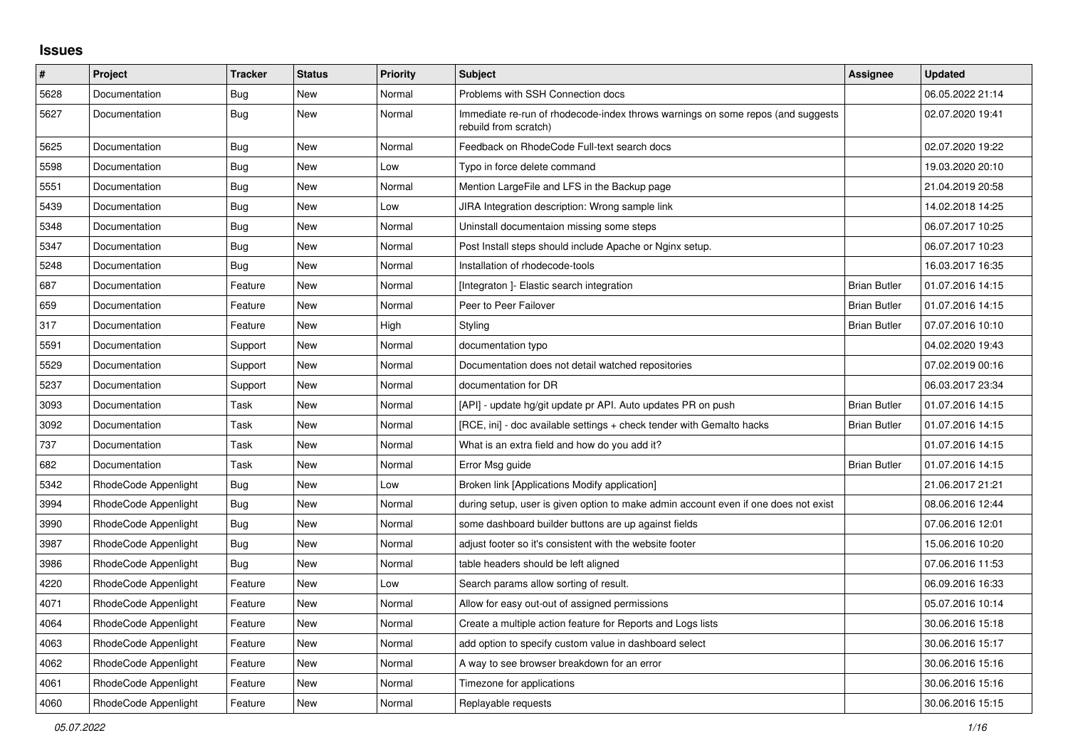## **Issues**

| $\pmb{\#}$ | Project              | <b>Tracker</b> | <b>Status</b> | <b>Priority</b> | <b>Subject</b>                                                                                           | Assignee            | <b>Updated</b>   |
|------------|----------------------|----------------|---------------|-----------------|----------------------------------------------------------------------------------------------------------|---------------------|------------------|
| 5628       | Documentation        | Bug            | <b>New</b>    | Normal          | Problems with SSH Connection docs                                                                        |                     | 06.05.2022 21:14 |
| 5627       | Documentation        | Bug            | New           | Normal          | Immediate re-run of rhodecode-index throws warnings on some repos (and suggests<br>rebuild from scratch) |                     | 02.07.2020 19:41 |
| 5625       | Documentation        | <b>Bug</b>     | New           | Normal          | Feedback on RhodeCode Full-text search docs                                                              |                     | 02.07.2020 19:22 |
| 5598       | Documentation        | Bug            | New           | Low             | Typo in force delete command                                                                             |                     | 19.03.2020 20:10 |
| 5551       | Documentation        | Bug            | New           | Normal          | Mention LargeFile and LFS in the Backup page                                                             |                     | 21.04.2019 20:58 |
| 5439       | Documentation        | <b>Bug</b>     | New           | Low             | JIRA Integration description: Wrong sample link                                                          |                     | 14.02.2018 14:25 |
| 5348       | Documentation        | Bug            | New           | Normal          | Uninstall documentaion missing some steps                                                                |                     | 06.07.2017 10:25 |
| 5347       | Documentation        | Bug            | New           | Normal          | Post Install steps should include Apache or Nginx setup.                                                 |                     | 06.07.2017 10:23 |
| 5248       | Documentation        | Bug            | New           | Normal          | Installation of rhodecode-tools                                                                          |                     | 16.03.2017 16:35 |
| 687        | Documentation        | Feature        | New           | Normal          | [Integraton] - Elastic search integration                                                                | <b>Brian Butler</b> | 01.07.2016 14:15 |
| 659        | Documentation        | Feature        | New           | Normal          | Peer to Peer Failover                                                                                    | <b>Brian Butler</b> | 01.07.2016 14:15 |
| 317        | Documentation        | Feature        | New           | High            | Styling                                                                                                  | <b>Brian Butler</b> | 07.07.2016 10:10 |
| 5591       | Documentation        | Support        | New           | Normal          | documentation typo                                                                                       |                     | 04.02.2020 19:43 |
| 5529       | Documentation        | Support        | New           | Normal          | Documentation does not detail watched repositories                                                       |                     | 07.02.2019 00:16 |
| 5237       | Documentation        | Support        | New           | Normal          | documentation for DR                                                                                     |                     | 06.03.2017 23:34 |
| 3093       | Documentation        | Task           | New           | Normal          | [API] - update hg/git update pr API. Auto updates PR on push                                             | <b>Brian Butler</b> | 01.07.2016 14:15 |
| 3092       | Documentation        | Task           | New           | Normal          | [RCE, ini] - doc available settings + check tender with Gemalto hacks                                    | <b>Brian Butler</b> | 01.07.2016 14:15 |
| 737        | Documentation        | Task           | New           | Normal          | What is an extra field and how do you add it?                                                            |                     | 01.07.2016 14:15 |
| 682        | Documentation        | Task           | New           | Normal          | Error Msg guide                                                                                          | <b>Brian Butler</b> | 01.07.2016 14:15 |
| 5342       | RhodeCode Appenlight | Bug            | New           | Low             | Broken link [Applications Modify application]                                                            |                     | 21.06.2017 21:21 |
| 3994       | RhodeCode Appenlight | Bug            | <b>New</b>    | Normal          | during setup, user is given option to make admin account even if one does not exist                      |                     | 08.06.2016 12:44 |
| 3990       | RhodeCode Appenlight | Bug            | New           | Normal          | some dashboard builder buttons are up against fields                                                     |                     | 07.06.2016 12:01 |
| 3987       | RhodeCode Appenlight | Bug            | New           | Normal          | adjust footer so it's consistent with the website footer                                                 |                     | 15.06.2016 10:20 |
| 3986       | RhodeCode Appenlight | Bug            | New           | Normal          | table headers should be left aligned                                                                     |                     | 07.06.2016 11:53 |
| 4220       | RhodeCode Appenlight | Feature        | New           | Low             | Search params allow sorting of result.                                                                   |                     | 06.09.2016 16:33 |
| 4071       | RhodeCode Appenlight | Feature        | <b>New</b>    | Normal          | Allow for easy out-out of assigned permissions                                                           |                     | 05.07.2016 10:14 |
| 4064       | RhodeCode Appenlight | Feature        | <b>New</b>    | Normal          | Create a multiple action feature for Reports and Logs lists                                              |                     | 30.06.2016 15:18 |
| 4063       | RhodeCode Appenlight | Feature        | New           | Normal          | add option to specify custom value in dashboard select                                                   |                     | 30.06.2016 15:17 |
| 4062       | RhodeCode Appenlight | Feature        | New           | Normal          | A way to see browser breakdown for an error                                                              |                     | 30.06.2016 15:16 |
| 4061       | RhodeCode Appenlight | Feature        | New           | Normal          | Timezone for applications                                                                                |                     | 30.06.2016 15:16 |
| 4060       | RhodeCode Appenlight | Feature        | <b>New</b>    | Normal          | Replayable requests                                                                                      |                     | 30.06.2016 15:15 |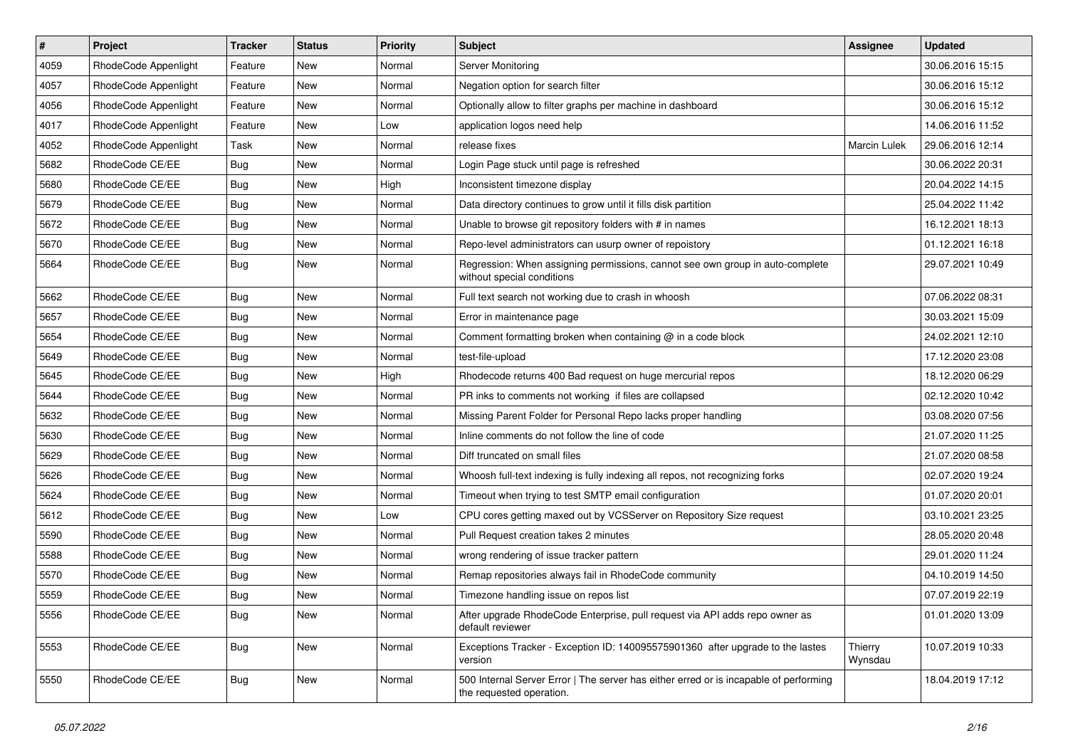| $\vert$ # | Project              | Tracker    | <b>Status</b> | <b>Priority</b> | Subject                                                                                                           | Assignee           | <b>Updated</b>   |
|-----------|----------------------|------------|---------------|-----------------|-------------------------------------------------------------------------------------------------------------------|--------------------|------------------|
| 4059      | RhodeCode Appenlight | Feature    | New           | Normal          | Server Monitoring                                                                                                 |                    | 30.06.2016 15:15 |
| 4057      | RhodeCode Appenlight | Feature    | New           | Normal          | Negation option for search filter                                                                                 |                    | 30.06.2016 15:12 |
| 4056      | RhodeCode Appenlight | Feature    | New           | Normal          | Optionally allow to filter graphs per machine in dashboard                                                        |                    | 30.06.2016 15:12 |
| 4017      | RhodeCode Appenlight | Feature    | New           | Low             | application logos need help                                                                                       |                    | 14.06.2016 11:52 |
| 4052      | RhodeCode Appenlight | Task       | New           | Normal          | release fixes                                                                                                     | Marcin Lulek       | 29.06.2016 12:14 |
| 5682      | RhodeCode CE/EE      | Bug        | New           | Normal          | Login Page stuck until page is refreshed                                                                          |                    | 30.06.2022 20:31 |
| 5680      | RhodeCode CE/EE      | Bug        | New           | High            | Inconsistent timezone display                                                                                     |                    | 20.04.2022 14:15 |
| 5679      | RhodeCode CE/EE      | <b>Bug</b> | New           | Normal          | Data directory continues to grow until it fills disk partition                                                    |                    | 25.04.2022 11:42 |
| 5672      | RhodeCode CE/EE      | <b>Bug</b> | New           | Normal          | Unable to browse git repository folders with # in names                                                           |                    | 16.12.2021 18:13 |
| 5670      | RhodeCode CE/EE      | Bug        | New           | Normal          | Repo-level administrators can usurp owner of repoistory                                                           |                    | 01.12.2021 16:18 |
| 5664      | RhodeCode CE/EE      | <b>Bug</b> | New           | Normal          | Regression: When assigning permissions, cannot see own group in auto-complete<br>without special conditions       |                    | 29.07.2021 10:49 |
| 5662      | RhodeCode CE/EE      | Bug        | New           | Normal          | Full text search not working due to crash in whoosh                                                               |                    | 07.06.2022 08:31 |
| 5657      | RhodeCode CE/EE      | <b>Bug</b> | New           | Normal          | Error in maintenance page                                                                                         |                    | 30.03.2021 15:09 |
| 5654      | RhodeCode CE/EE      | Bug        | New           | Normal          | Comment formatting broken when containing @ in a code block                                                       |                    | 24.02.2021 12:10 |
| 5649      | RhodeCode CE/EE      | <b>Bug</b> | New           | Normal          | test-file-upload                                                                                                  |                    | 17.12.2020 23:08 |
| 5645      | RhodeCode CE/EE      | <b>Bug</b> | New           | High            | Rhodecode returns 400 Bad request on huge mercurial repos                                                         |                    | 18.12.2020 06:29 |
| 5644      | RhodeCode CE/EE      | <b>Bug</b> | New           | Normal          | PR inks to comments not working if files are collapsed                                                            |                    | 02.12.2020 10:42 |
| 5632      | RhodeCode CE/EE      | <b>Bug</b> | New           | Normal          | Missing Parent Folder for Personal Repo lacks proper handling                                                     |                    | 03.08.2020 07:56 |
| 5630      | RhodeCode CE/EE      | <b>Bug</b> | New           | Normal          | Inline comments do not follow the line of code                                                                    |                    | 21.07.2020 11:25 |
| 5629      | RhodeCode CE/EE      | <b>Bug</b> | New           | Normal          | Diff truncated on small files                                                                                     |                    | 21.07.2020 08:58 |
| 5626      | RhodeCode CE/EE      | <b>Bug</b> | New           | Normal          | Whoosh full-text indexing is fully indexing all repos, not recognizing forks                                      |                    | 02.07.2020 19:24 |
| 5624      | RhodeCode CE/EE      | <b>Bug</b> | New           | Normal          | Timeout when trying to test SMTP email configuration                                                              |                    | 01.07.2020 20:01 |
| 5612      | RhodeCode CE/EE      | <b>Bug</b> | New           | Low             | CPU cores getting maxed out by VCSServer on Repository Size request                                               |                    | 03.10.2021 23:25 |
| 5590      | RhodeCode CE/EE      | <b>Bug</b> | New           | Normal          | Pull Request creation takes 2 minutes                                                                             |                    | 28.05.2020 20:48 |
| 5588      | RhodeCode CE/EE      | <b>Bug</b> | New           | Normal          | wrong rendering of issue tracker pattern                                                                          |                    | 29.01.2020 11:24 |
| 5570      | RhodeCode CE/EE      | <b>Bug</b> | New           | Normal          | Remap repositories always fail in RhodeCode community                                                             |                    | 04.10.2019 14:50 |
| 5559      | RhodeCode CE/EE      | <b>Bug</b> | New           | Normal          | Timezone handling issue on repos list                                                                             |                    | 07.07.2019 22:19 |
| 5556      | RhodeCode CE/EE      | <b>Bug</b> | New           | Normal          | After upgrade RhodeCode Enterprise, pull request via API adds repo owner as<br>default reviewer                   |                    | 01.01.2020 13:09 |
| 5553      | RhodeCode CE/EE      | <b>Bug</b> | New           | Normal          | Exceptions Tracker - Exception ID: 140095575901360 after upgrade to the lastes<br>version                         | Thierry<br>Wynsdau | 10.07.2019 10:33 |
| 5550      | RhodeCode CE/EE      | Bug        | New           | Normal          | 500 Internal Server Error   The server has either erred or is incapable of performing<br>the requested operation. |                    | 18.04.2019 17:12 |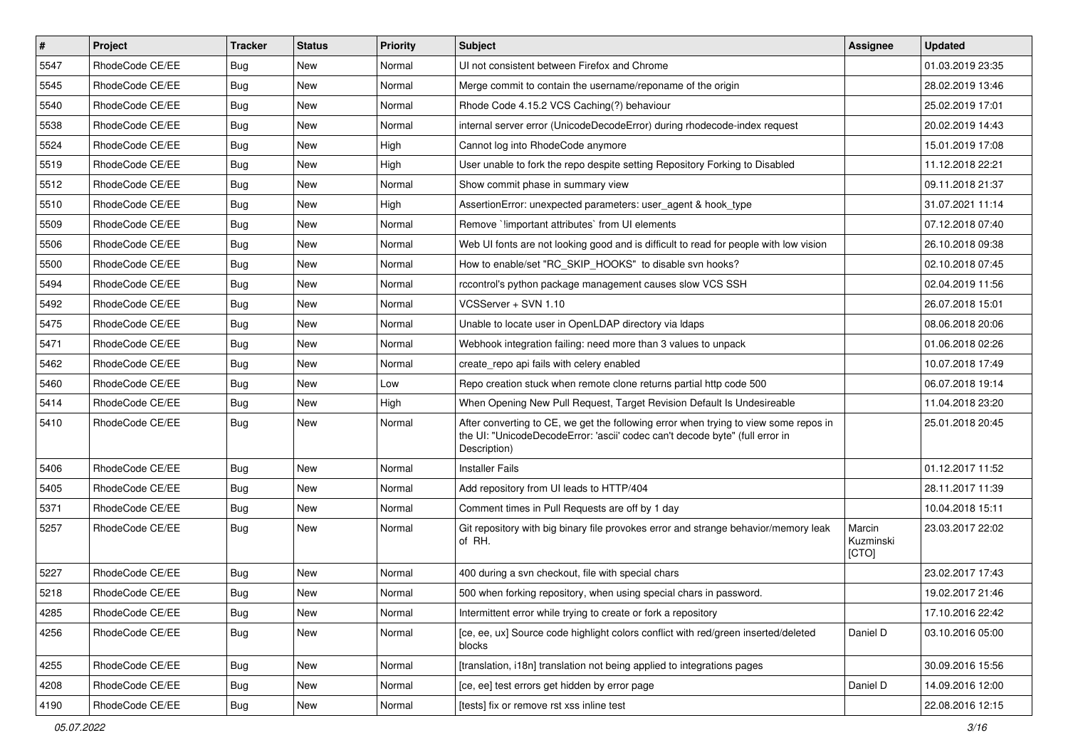| $\pmb{\#}$ | Project         | <b>Tracker</b> | <b>Status</b> | <b>Priority</b> | Subject                                                                                                                                                                              | <b>Assignee</b>              | <b>Updated</b>   |
|------------|-----------------|----------------|---------------|-----------------|--------------------------------------------------------------------------------------------------------------------------------------------------------------------------------------|------------------------------|------------------|
| 5547       | RhodeCode CE/EE | Bug            | <b>New</b>    | Normal          | UI not consistent between Firefox and Chrome                                                                                                                                         |                              | 01.03.2019 23:35 |
| 5545       | RhodeCode CE/EE | Bug            | <b>New</b>    | Normal          | Merge commit to contain the username/reponame of the origin                                                                                                                          |                              | 28.02.2019 13:46 |
| 5540       | RhodeCode CE/EE | Bug            | New           | Normal          | Rhode Code 4.15.2 VCS Caching(?) behaviour                                                                                                                                           |                              | 25.02.2019 17:01 |
| 5538       | RhodeCode CE/EE | Bug            | New           | Normal          | internal server error (UnicodeDecodeError) during rhodecode-index request                                                                                                            |                              | 20.02.2019 14:43 |
| 5524       | RhodeCode CE/EE | Bug            | <b>New</b>    | High            | Cannot log into RhodeCode anymore                                                                                                                                                    |                              | 15.01.2019 17:08 |
| 5519       | RhodeCode CE/EE | Bug            | New           | High            | User unable to fork the repo despite setting Repository Forking to Disabled                                                                                                          |                              | 11.12.2018 22:21 |
| 5512       | RhodeCode CE/EE | Bug            | New           | Normal          | Show commit phase in summary view                                                                                                                                                    |                              | 09.11.2018 21:37 |
| 5510       | RhodeCode CE/EE | Bug            | New           | High            | AssertionError: unexpected parameters: user_agent & hook_type                                                                                                                        |                              | 31.07.2021 11:14 |
| 5509       | RhodeCode CE/EE | Bug            | New           | Normal          | Remove `!important attributes` from UI elements                                                                                                                                      |                              | 07.12.2018 07:40 |
| 5506       | RhodeCode CE/EE | Bug            | <b>New</b>    | Normal          | Web UI fonts are not looking good and is difficult to read for people with low vision                                                                                                |                              | 26.10.2018 09:38 |
| 5500       | RhodeCode CE/EE | Bug            | New           | Normal          | How to enable/set "RC_SKIP_HOOKS" to disable svn hooks?                                                                                                                              |                              | 02.10.2018 07:45 |
| 5494       | RhodeCode CE/EE | Bug            | <b>New</b>    | Normal          | rccontrol's python package management causes slow VCS SSH                                                                                                                            |                              | 02.04.2019 11:56 |
| 5492       | RhodeCode CE/EE | Bug            | <b>New</b>    | Normal          | VCSServer + SVN 1.10                                                                                                                                                                 |                              | 26.07.2018 15:01 |
| 5475       | RhodeCode CE/EE | <b>Bug</b>     | New           | Normal          | Unable to locate user in OpenLDAP directory via Idaps                                                                                                                                |                              | 08.06.2018 20:06 |
| 5471       | RhodeCode CE/EE | Bug            | New           | Normal          | Webhook integration failing: need more than 3 values to unpack                                                                                                                       |                              | 01.06.2018 02:26 |
| 5462       | RhodeCode CE/EE | <b>Bug</b>     | New           | Normal          | create repo api fails with celery enabled                                                                                                                                            |                              | 10.07.2018 17:49 |
| 5460       | RhodeCode CE/EE | <b>Bug</b>     | New           | Low             | Repo creation stuck when remote clone returns partial http code 500                                                                                                                  |                              | 06.07.2018 19:14 |
| 5414       | RhodeCode CE/EE | Bug            | <b>New</b>    | High            | When Opening New Pull Request, Target Revision Default Is Undesireable                                                                                                               |                              | 11.04.2018 23:20 |
| 5410       | RhodeCode CE/EE | Bug            | New           | Normal          | After converting to CE, we get the following error when trying to view some repos in<br>the UI: "UnicodeDecodeError: 'ascii' codec can't decode byte" (full error in<br>Description) |                              | 25.01.2018 20:45 |
| 5406       | RhodeCode CE/EE | Bug            | <b>New</b>    | Normal          | <b>Installer Fails</b>                                                                                                                                                               |                              | 01.12.2017 11:52 |
| 5405       | RhodeCode CE/EE | <b>Bug</b>     | New           | Normal          | Add repository from UI leads to HTTP/404                                                                                                                                             |                              | 28.11.2017 11:39 |
| 5371       | RhodeCode CE/EE | <b>Bug</b>     | New           | Normal          | Comment times in Pull Requests are off by 1 day                                                                                                                                      |                              | 10.04.2018 15:11 |
| 5257       | RhodeCode CE/EE | Bug            | New           | Normal          | Git repository with big binary file provokes error and strange behavior/memory leak<br>of RH.                                                                                        | Marcin<br>Kuzminski<br>[CTO] | 23.03.2017 22:02 |
| 5227       | RhodeCode CE/EE | Bug            | New           | Normal          | 400 during a svn checkout, file with special chars                                                                                                                                   |                              | 23.02.2017 17:43 |
| 5218       | RhodeCode CE/EE | <b>Bug</b>     | <b>New</b>    | Normal          | 500 when forking repository, when using special chars in password.                                                                                                                   |                              | 19.02.2017 21:46 |
| 4285       | RhodeCode CE/EE | <b>Bug</b>     | New           | Normal          | Intermittent error while trying to create or fork a repository                                                                                                                       |                              | 17.10.2016 22:42 |
| 4256       | RhodeCode CE/EE | Bug            | New           | Normal          | [ce, ee, ux] Source code highlight colors conflict with red/green inserted/deleted<br>blocks                                                                                         | Daniel D                     | 03.10.2016 05:00 |
| 4255       | RhodeCode CE/EE | Bug            | New           | Normal          | [translation, i18n] translation not being applied to integrations pages                                                                                                              |                              | 30.09.2016 15:56 |
| 4208       | RhodeCode CE/EE | <b>Bug</b>     | New           | Normal          | [ce, ee] test errors get hidden by error page                                                                                                                                        | Daniel D                     | 14.09.2016 12:00 |
| 4190       | RhodeCode CE/EE | Bug            | New           | Normal          | [tests] fix or remove rst xss inline test                                                                                                                                            |                              | 22.08.2016 12:15 |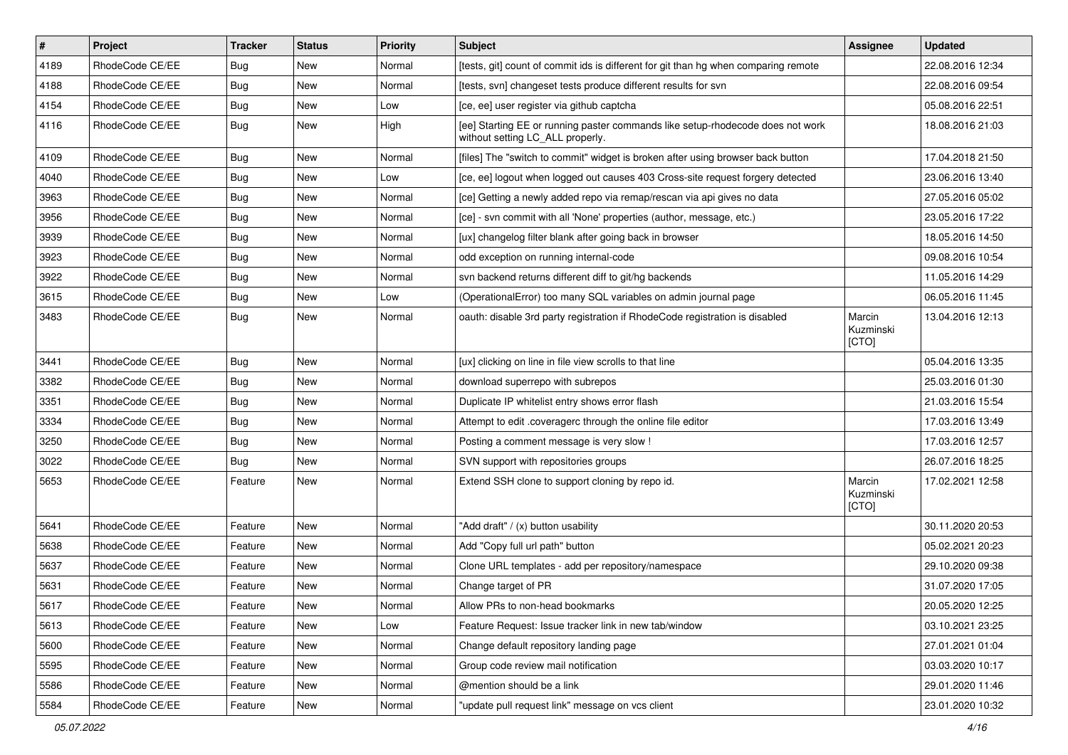| $\vert$ # | Project         | <b>Tracker</b> | <b>Status</b> | <b>Priority</b> | <b>Subject</b>                                                                                                     | Assignee                     | <b>Updated</b>   |
|-----------|-----------------|----------------|---------------|-----------------|--------------------------------------------------------------------------------------------------------------------|------------------------------|------------------|
| 4189      | RhodeCode CE/EE | Bug            | New           | Normal          | [tests, git] count of commit ids is different for git than hg when comparing remote                                |                              | 22.08.2016 12:34 |
| 4188      | RhodeCode CE/EE | Bug            | New           | Normal          | [tests, svn] changeset tests produce different results for svn                                                     |                              | 22.08.2016 09:54 |
| 4154      | RhodeCode CE/EE | Bug            | New           | Low             | [ce, ee] user register via github captcha                                                                          |                              | 05.08.2016 22:51 |
| 4116      | RhodeCode CE/EE | Bug            | New           | High            | [ee] Starting EE or running paster commands like setup-rhodecode does not work<br>without setting LC_ALL properly. |                              | 18.08.2016 21:03 |
| 4109      | RhodeCode CE/EE | Bug            | New           | Normal          | [files] The "switch to commit" widget is broken after using browser back button                                    |                              | 17.04.2018 21:50 |
| 4040      | RhodeCode CE/EE | Bug            | New           | Low             | [ce, ee] logout when logged out causes 403 Cross-site request forgery detected                                     |                              | 23.06.2016 13:40 |
| 3963      | RhodeCode CE/EE | <b>Bug</b>     | New           | Normal          | [ce] Getting a newly added repo via remap/rescan via api gives no data                                             |                              | 27.05.2016 05:02 |
| 3956      | RhodeCode CE/EE | <b>Bug</b>     | New           | Normal          | [ce] - svn commit with all 'None' properties (author, message, etc.)                                               |                              | 23.05.2016 17:22 |
| 3939      | RhodeCode CE/EE | <b>Bug</b>     | <b>New</b>    | Normal          | [ux] changelog filter blank after going back in browser                                                            |                              | 18.05.2016 14:50 |
| 3923      | RhodeCode CE/EE | Bug            | New           | Normal          | odd exception on running internal-code                                                                             |                              | 09.08.2016 10:54 |
| 3922      | RhodeCode CE/EE | <b>Bug</b>     | New           | Normal          | svn backend returns different diff to git/hg backends                                                              |                              | 11.05.2016 14:29 |
| 3615      | RhodeCode CE/EE | <b>Bug</b>     | New           | Low             | (OperationalError) too many SQL variables on admin journal page                                                    |                              | 06.05.2016 11:45 |
| 3483      | RhodeCode CE/EE | Bug            | New           | Normal          | oauth: disable 3rd party registration if RhodeCode registration is disabled                                        | Marcin<br>Kuzminski<br>[CTO] | 13.04.2016 12:13 |
| 3441      | RhodeCode CE/EE | Bug            | <b>New</b>    | Normal          | [ux] clicking on line in file view scrolls to that line                                                            |                              | 05.04.2016 13:35 |
| 3382      | RhodeCode CE/EE | <b>Bug</b>     | <b>New</b>    | Normal          | download superrepo with subrepos                                                                                   |                              | 25.03.2016 01:30 |
| 3351      | RhodeCode CE/EE | Bug            | New           | Normal          | Duplicate IP whitelist entry shows error flash                                                                     |                              | 21.03.2016 15:54 |
| 3334      | RhodeCode CE/EE | Bug            | New           | Normal          | Attempt to edit .coveragerc through the online file editor                                                         |                              | 17.03.2016 13:49 |
| 3250      | RhodeCode CE/EE | Bug            | <b>New</b>    | Normal          | Posting a comment message is very slow !                                                                           |                              | 17.03.2016 12:57 |
| 3022      | RhodeCode CE/EE | Bug            | New           | Normal          | SVN support with repositories groups                                                                               |                              | 26.07.2016 18:25 |
| 5653      | RhodeCode CE/EE | Feature        | New           | Normal          | Extend SSH clone to support cloning by repo id.                                                                    | Marcin<br>Kuzminski<br>[CTO] | 17.02.2021 12:58 |
| 5641      | RhodeCode CE/EE | Feature        | <b>New</b>    | Normal          | "Add draft" / (x) button usability                                                                                 |                              | 30.11.2020 20:53 |
| 5638      | RhodeCode CE/EE | Feature        | New           | Normal          | Add "Copy full url path" button                                                                                    |                              | 05.02.2021 20:23 |
| 5637      | RhodeCode CE/EE | Feature        | New           | Normal          | Clone URL templates - add per repository/namespace                                                                 |                              | 29.10.2020 09:38 |
| 5631      | RhodeCode CE/EE | Feature        | New           | Normal          | Change target of PR                                                                                                |                              | 31.07.2020 17:05 |
| 5617      | RhodeCode CE/EE | Feature        | <b>New</b>    | Normal          | Allow PRs to non-head bookmarks                                                                                    |                              | 20.05.2020 12:25 |
| 5613      | RhodeCode CE/EE | Feature        | New           | Low             | Feature Request: Issue tracker link in new tab/window                                                              |                              | 03.10.2021 23:25 |
| 5600      | RhodeCode CE/EE | Feature        | New           | Normal          | Change default repository landing page                                                                             |                              | 27.01.2021 01:04 |
| 5595      | RhodeCode CE/EE | Feature        | New           | Normal          | Group code review mail notification                                                                                |                              | 03.03.2020 10:17 |
| 5586      | RhodeCode CE/EE | Feature        | New           | Normal          | @mention should be a link                                                                                          |                              | 29.01.2020 11:46 |
| 5584      | RhodeCode CE/EE | Feature        | New           | Normal          | "update pull request link" message on vcs client                                                                   |                              | 23.01.2020 10:32 |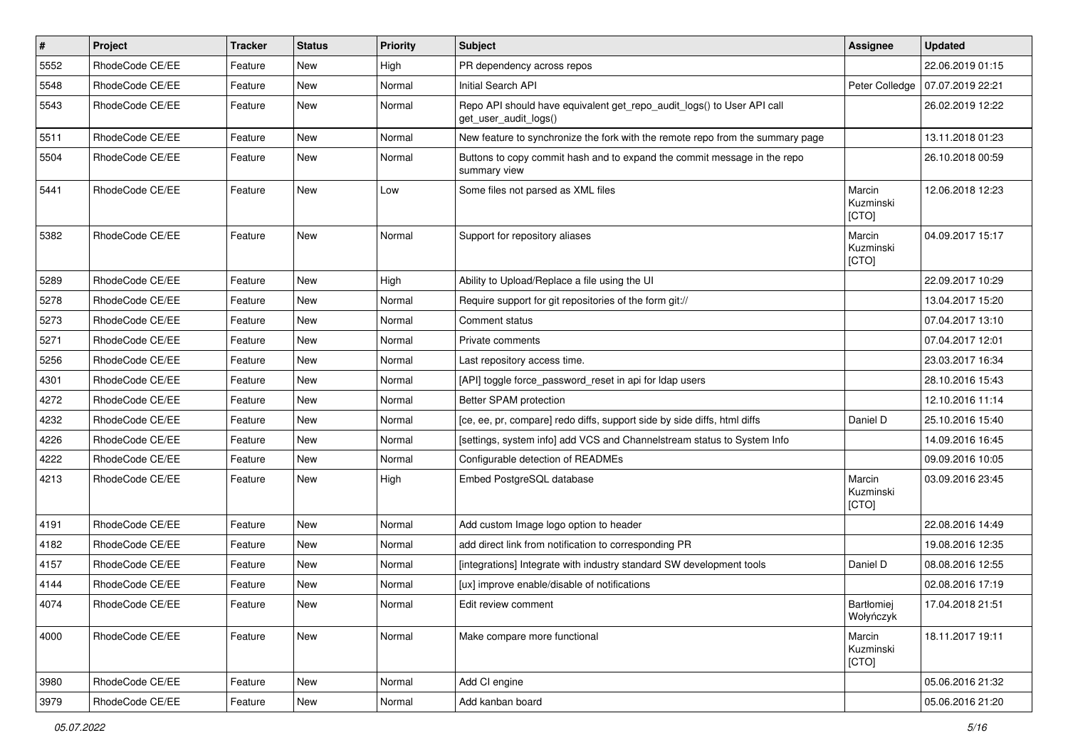| $\pmb{\#}$ | Project         | <b>Tracker</b> | <b>Status</b> | <b>Priority</b> | <b>Subject</b>                                                                                  | <b>Assignee</b>              | <b>Updated</b>   |
|------------|-----------------|----------------|---------------|-----------------|-------------------------------------------------------------------------------------------------|------------------------------|------------------|
| 5552       | RhodeCode CE/EE | Feature        | New           | High            | PR dependency across repos                                                                      |                              | 22.06.2019 01:15 |
| 5548       | RhodeCode CE/EE | Feature        | New           | Normal          | Initial Search API                                                                              | Peter Colledge               | 07.07.2019 22:21 |
| 5543       | RhodeCode CE/EE | Feature        | New           | Normal          | Repo API should have equivalent get_repo_audit_logs() to User API call<br>get_user_audit_logs() |                              | 26.02.2019 12:22 |
| 5511       | RhodeCode CE/EE | Feature        | <b>New</b>    | Normal          | New feature to synchronize the fork with the remote repo from the summary page                  |                              | 13.11.2018 01:23 |
| 5504       | RhodeCode CE/EE | Feature        | New           | Normal          | Buttons to copy commit hash and to expand the commit message in the repo<br>summary view        |                              | 26.10.2018 00:59 |
| 5441       | RhodeCode CE/EE | Feature        | <b>New</b>    | Low             | Some files not parsed as XML files                                                              | Marcin<br>Kuzminski<br>[CTO] | 12.06.2018 12:23 |
| 5382       | RhodeCode CE/EE | Feature        | <b>New</b>    | Normal          | Support for repository aliases                                                                  | Marcin<br>Kuzminski<br>[CTO] | 04.09.2017 15:17 |
| 5289       | RhodeCode CE/EE | Feature        | New           | High            | Ability to Upload/Replace a file using the UI                                                   |                              | 22.09.2017 10:29 |
| 5278       | RhodeCode CE/EE | Feature        | New           | Normal          | Require support for git repositories of the form git://                                         |                              | 13.04.2017 15:20 |
| 5273       | RhodeCode CE/EE | Feature        | <b>New</b>    | Normal          | Comment status                                                                                  |                              | 07.04.2017 13:10 |
| 5271       | RhodeCode CE/EE | Feature        | New           | Normal          | Private comments                                                                                |                              | 07.04.2017 12:01 |
| 5256       | RhodeCode CE/EE | Feature        | New           | Normal          | Last repository access time.                                                                    |                              | 23.03.2017 16:34 |
| 4301       | RhodeCode CE/EE | Feature        | New           | Normal          | [API] toggle force password reset in api for Idap users                                         |                              | 28.10.2016 15:43 |
| 4272       | RhodeCode CE/EE | Feature        | New           | Normal          | Better SPAM protection                                                                          |                              | 12.10.2016 11:14 |
| 4232       | RhodeCode CE/EE | Feature        | <b>New</b>    | Normal          | [ce, ee, pr, compare] redo diffs, support side by side diffs, html diffs                        | Daniel D                     | 25.10.2016 15:40 |
| 4226       | RhodeCode CE/EE | Feature        | New           | Normal          | [settings, system info] add VCS and Channelstream status to System Info                         |                              | 14.09.2016 16:45 |
| 4222       | RhodeCode CE/EE | Feature        | New           | Normal          | Configurable detection of READMEs                                                               |                              | 09.09.2016 10:05 |
| 4213       | RhodeCode CE/EE | Feature        | New           | High            | Embed PostgreSQL database                                                                       | Marcin<br>Kuzminski<br>[CTO] | 03.09.2016 23:45 |
| 4191       | RhodeCode CE/EE | Feature        | <b>New</b>    | Normal          | Add custom Image logo option to header                                                          |                              | 22.08.2016 14:49 |
| 4182       | RhodeCode CE/EE | Feature        | New           | Normal          | add direct link from notification to corresponding PR                                           |                              | 19.08.2016 12:35 |
| 4157       | RhodeCode CE/EE | Feature        | <b>New</b>    | Normal          | [integrations] Integrate with industry standard SW development tools                            | Daniel D                     | 08.08.2016 12:55 |
| 4144       | RhodeCode CE/EE | Feature        | New           | Normal          | [ux] improve enable/disable of notifications                                                    |                              | 02.08.2016 17:19 |
| 4074       | RhodeCode CE/EE | Feature        | New           | Normal          | Edit review comment                                                                             | Bartłomiej<br>Wołyńczyk      | 17.04.2018 21:51 |
| 4000       | RhodeCode CE/EE | Feature        | New           | Normal          | Make compare more functional                                                                    | Marcin<br>Kuzminski<br>[CTO] | 18.11.2017 19:11 |
| 3980       | RhodeCode CE/EE | Feature        | <b>New</b>    | Normal          | Add CI engine                                                                                   |                              | 05.06.2016 21:32 |
| 3979       | RhodeCode CE/EE | Feature        | New           | Normal          | Add kanban board                                                                                |                              | 05.06.2016 21:20 |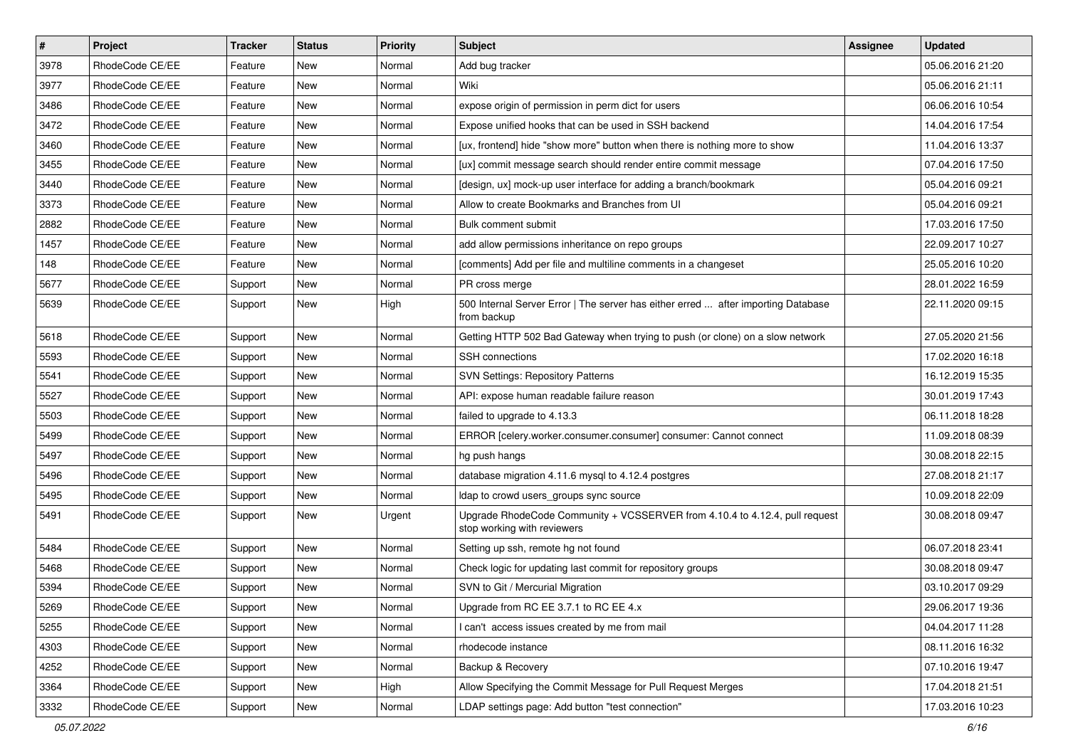| $\vert$ # | Project         | Tracker | <b>Status</b> | <b>Priority</b> | Subject                                                                                                    | <b>Assignee</b> | <b>Updated</b>   |
|-----------|-----------------|---------|---------------|-----------------|------------------------------------------------------------------------------------------------------------|-----------------|------------------|
| 3978      | RhodeCode CE/EE | Feature | New           | Normal          | Add bug tracker                                                                                            |                 | 05.06.2016 21:20 |
| 3977      | RhodeCode CE/EE | Feature | <b>New</b>    | Normal          | Wiki                                                                                                       |                 | 05.06.2016 21:11 |
| 3486      | RhodeCode CE/EE | Feature | New           | Normal          | expose origin of permission in perm dict for users                                                         |                 | 06.06.2016 10:54 |
| 3472      | RhodeCode CE/EE | Feature | New           | Normal          | Expose unified hooks that can be used in SSH backend                                                       |                 | 14.04.2016 17:54 |
| 3460      | RhodeCode CE/EE | Feature | New           | Normal          | [ux, frontend] hide "show more" button when there is nothing more to show                                  |                 | 11.04.2016 13:37 |
| 3455      | RhodeCode CE/EE | Feature | New           | Normal          | [ux] commit message search should render entire commit message                                             |                 | 07.04.2016 17:50 |
| 3440      | RhodeCode CE/EE | Feature | <b>New</b>    | Normal          | [design, ux] mock-up user interface for adding a branch/bookmark                                           |                 | 05.04.2016 09:21 |
| 3373      | RhodeCode CE/EE | Feature | New           | Normal          | Allow to create Bookmarks and Branches from UI                                                             |                 | 05.04.2016 09:21 |
| 2882      | RhodeCode CE/EE | Feature | New           | Normal          | Bulk comment submit                                                                                        |                 | 17.03.2016 17:50 |
| 1457      | RhodeCode CE/EE | Feature | New           | Normal          | add allow permissions inheritance on repo groups                                                           |                 | 22.09.2017 10:27 |
| 148       | RhodeCode CE/EE | Feature | New           | Normal          | [comments] Add per file and multiline comments in a changeset                                              |                 | 25.05.2016 10:20 |
| 5677      | RhodeCode CE/EE | Support | New           | Normal          | PR cross merge                                                                                             |                 | 28.01.2022 16:59 |
| 5639      | RhodeCode CE/EE | Support | New           | High            | 500 Internal Server Error   The server has either erred  after importing Database<br>from backup           |                 | 22.11.2020 09:15 |
| 5618      | RhodeCode CE/EE | Support | <b>New</b>    | Normal          | Getting HTTP 502 Bad Gateway when trying to push (or clone) on a slow network                              |                 | 27.05.2020 21:56 |
| 5593      | RhodeCode CE/EE | Support | New           | Normal          | <b>SSH</b> connections                                                                                     |                 | 17.02.2020 16:18 |
| 5541      | RhodeCode CE/EE | Support | New           | Normal          | <b>SVN Settings: Repository Patterns</b>                                                                   |                 | 16.12.2019 15:35 |
| 5527      | RhodeCode CE/EE | Support | New           | Normal          | API: expose human readable failure reason                                                                  |                 | 30.01.2019 17:43 |
| 5503      | RhodeCode CE/EE | Support | New           | Normal          | failed to upgrade to 4.13.3                                                                                |                 | 06.11.2018 18:28 |
| 5499      | RhodeCode CE/EE | Support | New           | Normal          | ERROR [celery.worker.consumer.consumer] consumer: Cannot connect                                           |                 | 11.09.2018 08:39 |
| 5497      | RhodeCode CE/EE | Support | New           | Normal          | hg push hangs                                                                                              |                 | 30.08.2018 22:15 |
| 5496      | RhodeCode CE/EE | Support | New           | Normal          | database migration 4.11.6 mysql to 4.12.4 postgres                                                         |                 | 27.08.2018 21:17 |
| 5495      | RhodeCode CE/EE | Support | New           | Normal          | Idap to crowd users_groups sync source                                                                     |                 | 10.09.2018 22:09 |
| 5491      | RhodeCode CE/EE | Support | New           | Urgent          | Upgrade RhodeCode Community + VCSSERVER from 4.10.4 to 4.12.4, pull request<br>stop working with reviewers |                 | 30.08.2018 09:47 |
| 5484      | RhodeCode CE/EE | Support | New           | Normal          | Setting up ssh, remote hg not found                                                                        |                 | 06.07.2018 23:41 |
| 5468      | RhodeCode CE/EE | Support | New           | Normal          | Check logic for updating last commit for repository groups                                                 |                 | 30.08.2018 09:47 |
| 5394      | RhodeCode CE/EE | Support | New           | Normal          | SVN to Git / Mercurial Migration                                                                           |                 | 03.10.2017 09:29 |
| 5269      | RhodeCode CE/EE | Support | New           | Normal          | Upgrade from RC EE 3.7.1 to RC EE 4.x                                                                      |                 | 29.06.2017 19:36 |
| 5255      | RhodeCode CE/EE | Support | New           | Normal          | I can't access issues created by me from mail                                                              |                 | 04.04.2017 11:28 |
| 4303      | RhodeCode CE/EE | Support | New           | Normal          | rhodecode instance                                                                                         |                 | 08.11.2016 16:32 |
| 4252      | RhodeCode CE/EE | Support | New           | Normal          | Backup & Recovery                                                                                          |                 | 07.10.2016 19:47 |
| 3364      | RhodeCode CE/EE | Support | New           | High            | Allow Specifying the Commit Message for Pull Request Merges                                                |                 | 17.04.2018 21:51 |
| 3332      | RhodeCode CE/EE | Support | New           | Normal          | LDAP settings page: Add button "test connection"                                                           |                 | 17.03.2016 10:23 |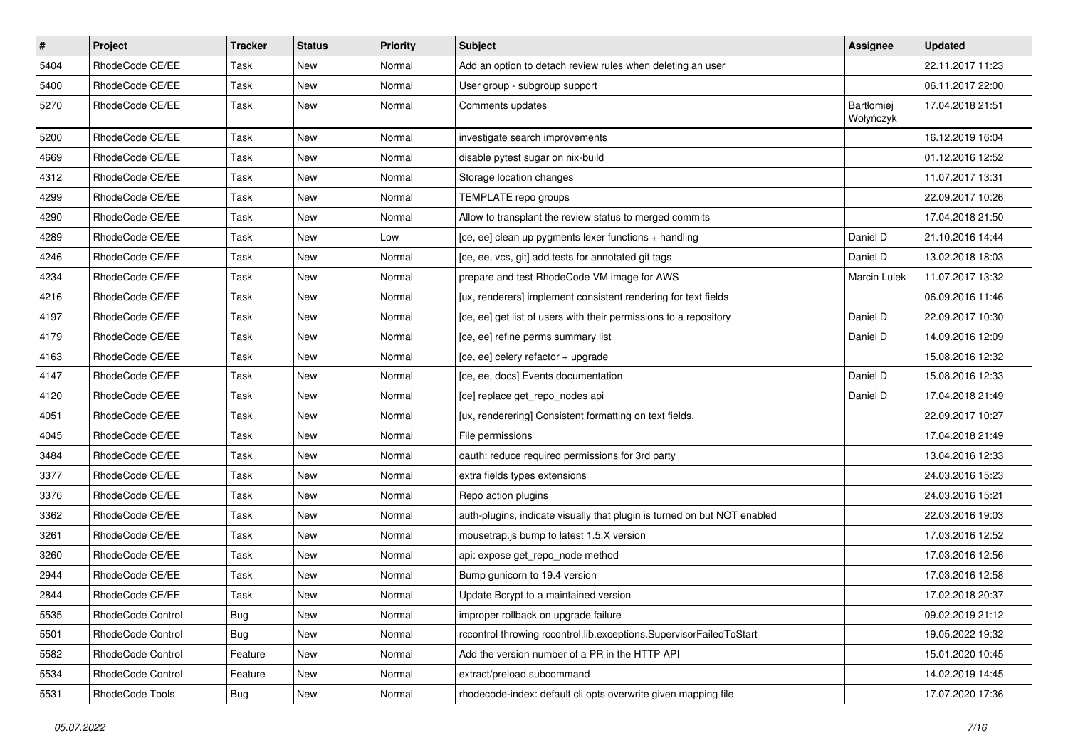| $\vert$ # | Project           | Tracker    | <b>Status</b> | <b>Priority</b> | <b>Subject</b>                                                           | Assignee                | <b>Updated</b>   |
|-----------|-------------------|------------|---------------|-----------------|--------------------------------------------------------------------------|-------------------------|------------------|
| 5404      | RhodeCode CE/EE   | Task       | New           | Normal          | Add an option to detach review rules when deleting an user               |                         | 22.11.2017 11:23 |
| 5400      | RhodeCode CE/EE   | Task       | <b>New</b>    | Normal          | User group - subgroup support                                            |                         | 06.11.2017 22:00 |
| 5270      | RhodeCode CE/EE   | Task       | New           | Normal          | Comments updates                                                         | Bartłomiej<br>Wołyńczyk | 17.04.2018 21:51 |
| 5200      | RhodeCode CE/EE   | Task       | New           | Normal          | investigate search improvements                                          |                         | 16.12.2019 16:04 |
| 4669      | RhodeCode CE/EE   | Task       | New           | Normal          | disable pytest sugar on nix-build                                        |                         | 01.12.2016 12:52 |
| 4312      | RhodeCode CE/EE   | Task       | New           | Normal          | Storage location changes                                                 |                         | 11.07.2017 13:31 |
| 4299      | RhodeCode CE/EE   | Task       | New           | Normal          | TEMPLATE repo groups                                                     |                         | 22.09.2017 10:26 |
| 4290      | RhodeCode CE/EE   | Task       | New           | Normal          | Allow to transplant the review status to merged commits                  |                         | 17.04.2018 21:50 |
| 4289      | RhodeCode CE/EE   | Task       | New           | Low             | [ce, ee] clean up pygments lexer functions + handling                    | Daniel D                | 21.10.2016 14:44 |
| 4246      | RhodeCode CE/EE   | Task       | New           | Normal          | [ce, ee, vcs, git] add tests for annotated git tags                      | Daniel D                | 13.02.2018 18:03 |
| 4234      | RhodeCode CE/EE   | Task       | New           | Normal          | prepare and test RhodeCode VM image for AWS                              | <b>Marcin Lulek</b>     | 11.07.2017 13:32 |
| 4216      | RhodeCode CE/EE   | Task       | New           | Normal          | [ux, renderers] implement consistent rendering for text fields           |                         | 06.09.2016 11:46 |
| 4197      | RhodeCode CE/EE   | Task       | New           | Normal          | [ce, ee] get list of users with their permissions to a repository        | Daniel D                | 22.09.2017 10:30 |
| 4179      | RhodeCode CE/EE   | Task       | New           | Normal          | [ce, ee] refine perms summary list                                       | Daniel D                | 14.09.2016 12:09 |
| 4163      | RhodeCode CE/EE   | Task       | New           | Normal          | [ce, ee] celery refactor + upgrade                                       |                         | 15.08.2016 12:32 |
| 4147      | RhodeCode CE/EE   | Task       | New           | Normal          | [ce, ee, docs] Events documentation                                      | Daniel D                | 15.08.2016 12:33 |
| 4120      | RhodeCode CE/EE   | Task       | New           | Normal          | [ce] replace get_repo_nodes api                                          | Daniel D                | 17.04.2018 21:49 |
| 4051      | RhodeCode CE/EE   | Task       | New           | Normal          | [ux, renderering] Consistent formatting on text fields.                  |                         | 22.09.2017 10:27 |
| 4045      | RhodeCode CE/EE   | Task       | New           | Normal          | File permissions                                                         |                         | 17.04.2018 21:49 |
| 3484      | RhodeCode CE/EE   | Task       | New           | Normal          | oauth: reduce required permissions for 3rd party                         |                         | 13.04.2016 12:33 |
| 3377      | RhodeCode CE/EE   | Task       | New           | Normal          | extra fields types extensions                                            |                         | 24.03.2016 15:23 |
| 3376      | RhodeCode CE/EE   | Task       | New           | Normal          | Repo action plugins                                                      |                         | 24.03.2016 15:21 |
| 3362      | RhodeCode CE/EE   | Task       | New           | Normal          | auth-plugins, indicate visually that plugin is turned on but NOT enabled |                         | 22.03.2016 19:03 |
| 3261      | RhodeCode CE/EE   | Task       | New           | Normal          | mousetrap.js bump to latest 1.5.X version                                |                         | 17.03.2016 12:52 |
| 3260      | RhodeCode CE/EE   | Task       | New           | Normal          | api: expose get_repo_node method                                         |                         | 17.03.2016 12:56 |
| 2944      | RhodeCode CE/EE   | Task       | New           | Normal          | Bump gunicorn to 19.4 version                                            |                         | 17.03.2016 12:58 |
| 2844      | RhodeCode CE/EE   | Task       | New           | Normal          | Update Bcrypt to a maintained version                                    |                         | 17.02.2018 20:37 |
| 5535      | RhodeCode Control | <b>Bug</b> | New           | Normal          | improper rollback on upgrade failure                                     |                         | 09.02.2019 21:12 |
| 5501      | RhodeCode Control | Bug        | New           | Normal          | rccontrol throwing rccontrol.lib.exceptions.SupervisorFailedToStart      |                         | 19.05.2022 19:32 |
| 5582      | RhodeCode Control | Feature    | New           | Normal          | Add the version number of a PR in the HTTP API                           |                         | 15.01.2020 10:45 |
| 5534      | RhodeCode Control | Feature    | New           | Normal          | extract/preload subcommand                                               |                         | 14.02.2019 14:45 |
| 5531      | RhodeCode Tools   | <b>Bug</b> | New           | Normal          | rhodecode-index: default cli opts overwrite given mapping file           |                         | 17.07.2020 17:36 |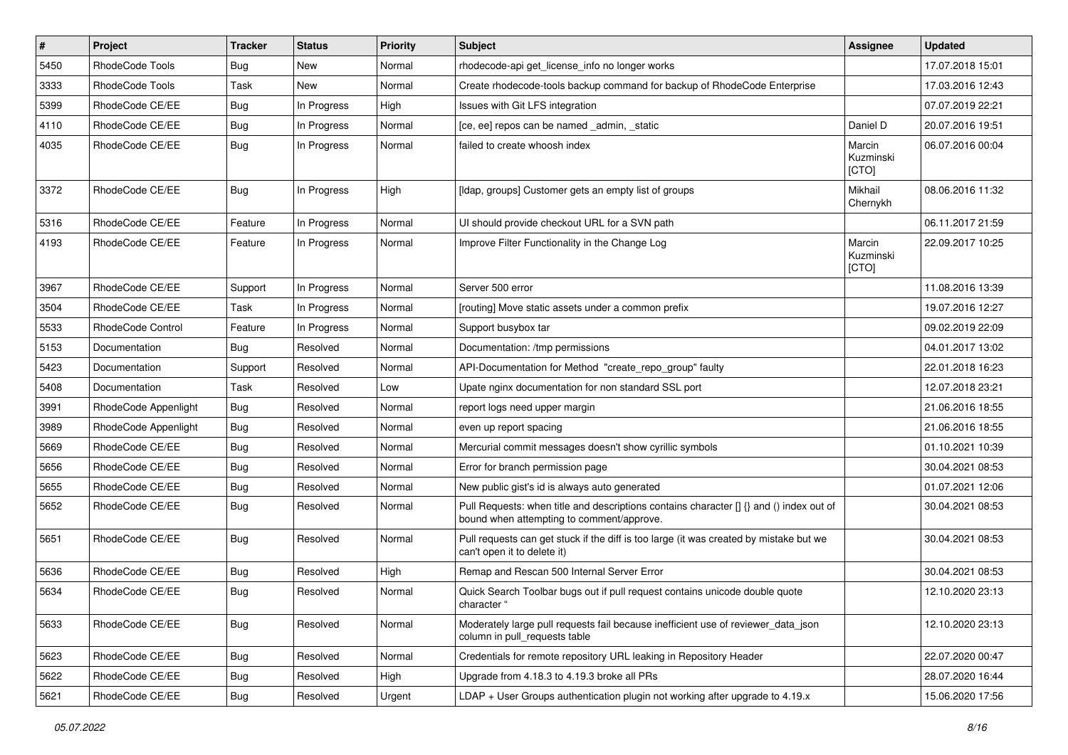| $\pmb{\#}$ | Project              | <b>Tracker</b> | <b>Status</b> | <b>Priority</b> | <b>Subject</b>                                                                                                                       | <b>Assignee</b>              | <b>Updated</b>   |
|------------|----------------------|----------------|---------------|-----------------|--------------------------------------------------------------------------------------------------------------------------------------|------------------------------|------------------|
| 5450       | RhodeCode Tools      | Bug            | New           | Normal          | rhodecode-api get license info no longer works                                                                                       |                              | 17.07.2018 15:01 |
| 3333       | RhodeCode Tools      | Task           | <b>New</b>    | Normal          | Create rhodecode-tools backup command for backup of RhodeCode Enterprise                                                             |                              | 17.03.2016 12:43 |
| 5399       | RhodeCode CE/EE      | Bug            | In Progress   | High            | Issues with Git LFS integration                                                                                                      |                              | 07.07.2019 22:21 |
| 4110       | RhodeCode CE/EE      | Bug            | In Progress   | Normal          | [ce, ee] repos can be named admin, static                                                                                            | Daniel D                     | 20.07.2016 19:51 |
| 4035       | RhodeCode CE/EE      | Bug            | In Progress   | Normal          | failed to create whoosh index                                                                                                        | Marcin<br>Kuzminski<br>[CTO] | 06.07.2016 00:04 |
| 3372       | RhodeCode CE/EE      | Bug            | In Progress   | High            | [Idap, groups] Customer gets an empty list of groups                                                                                 | Mikhail<br>Chernykh          | 08.06.2016 11:32 |
| 5316       | RhodeCode CE/EE      | Feature        | In Progress   | Normal          | UI should provide checkout URL for a SVN path                                                                                        |                              | 06.11.2017 21:59 |
| 4193       | RhodeCode CE/EE      | Feature        | In Progress   | Normal          | Improve Filter Functionality in the Change Log                                                                                       | Marcin<br>Kuzminski<br>[CTO] | 22.09.2017 10:25 |
| 3967       | RhodeCode CE/EE      | Support        | In Progress   | Normal          | Server 500 error                                                                                                                     |                              | 11.08.2016 13:39 |
| 3504       | RhodeCode CE/EE      | Task           | In Progress   | Normal          | [routing] Move static assets under a common prefix                                                                                   |                              | 19.07.2016 12:27 |
| 5533       | RhodeCode Control    | Feature        | In Progress   | Normal          | Support busybox tar                                                                                                                  |                              | 09.02.2019 22:09 |
| 5153       | Documentation        | Bug            | Resolved      | Normal          | Documentation: /tmp permissions                                                                                                      |                              | 04.01.2017 13:02 |
| 5423       | Documentation        | Support        | Resolved      | Normal          | API-Documentation for Method "create_repo_group" faulty                                                                              |                              | 22.01.2018 16:23 |
| 5408       | Documentation        | Task           | Resolved      | Low             | Upate nginx documentation for non standard SSL port                                                                                  |                              | 12.07.2018 23:21 |
| 3991       | RhodeCode Appenlight | Bug            | Resolved      | Normal          | report logs need upper margin                                                                                                        |                              | 21.06.2016 18:55 |
| 3989       | RhodeCode Appenlight | Bug            | Resolved      | Normal          | even up report spacing                                                                                                               |                              | 21.06.2016 18:55 |
| 5669       | RhodeCode CE/EE      | Bug            | Resolved      | Normal          | Mercurial commit messages doesn't show cyrillic symbols                                                                              |                              | 01.10.2021 10:39 |
| 5656       | RhodeCode CE/EE      | Bug            | Resolved      | Normal          | Error for branch permission page                                                                                                     |                              | 30.04.2021 08:53 |
| 5655       | RhodeCode CE/EE      | Bug            | Resolved      | Normal          | New public gist's id is always auto generated                                                                                        |                              | 01.07.2021 12:06 |
| 5652       | RhodeCode CE/EE      | Bug            | Resolved      | Normal          | Pull Requests: when title and descriptions contains character [] {} and () index out of<br>bound when attempting to comment/approve. |                              | 30.04.2021 08:53 |
| 5651       | RhodeCode CE/EE      | Bug            | Resolved      | Normal          | Pull requests can get stuck if the diff is too large (it was created by mistake but we<br>can't open it to delete it)                |                              | 30.04.2021 08:53 |
| 5636       | RhodeCode CE/EE      | Bug            | Resolved      | High            | Remap and Rescan 500 Internal Server Error                                                                                           |                              | 30.04.2021 08:53 |
| 5634       | RhodeCode CE/EE      | Bug            | Resolved      | Normal          | Quick Search Toolbar bugs out if pull request contains unicode double quote<br>cnaracter '                                           |                              | 12.10.2020 23:13 |
| 5633       | RhodeCode CE/EE      | <b>Bug</b>     | Resolved      | Normal          | Moderately large pull requests fail because inefficient use of reviewer_data_json<br>column in pull requests table                   |                              | 12.10.2020 23:13 |
| 5623       | RhodeCode CE/EE      | Bug            | Resolved      | Normal          | Credentials for remote repository URL leaking in Repository Header                                                                   |                              | 22.07.2020 00:47 |
| 5622       | RhodeCode CE/EE      | <b>Bug</b>     | Resolved      | High            | Upgrade from 4.18.3 to 4.19.3 broke all PRs                                                                                          |                              | 28.07.2020 16:44 |
| 5621       | RhodeCode CE/EE      | Bug            | Resolved      | Urgent          | LDAP + User Groups authentication plugin not working after upgrade to 4.19.x                                                         |                              | 15.06.2020 17:56 |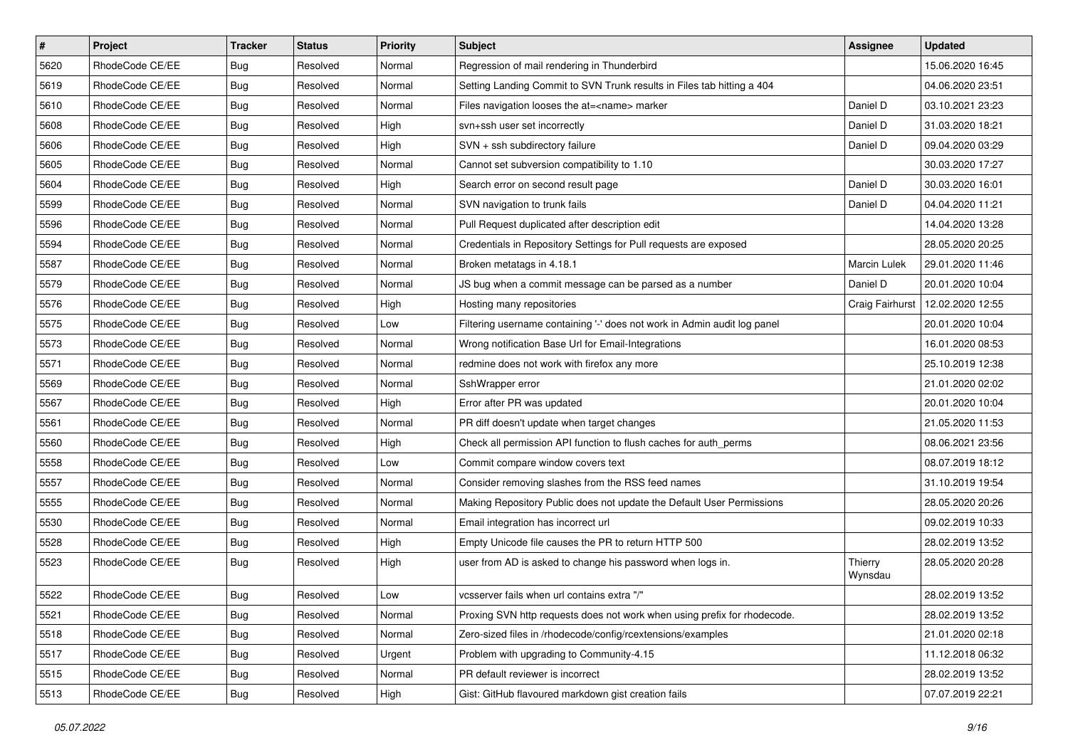| $\pmb{\#}$ | Project         | <b>Tracker</b> | <b>Status</b> | <b>Priority</b> | <b>Subject</b>                                                           | Assignee           | <b>Updated</b>   |
|------------|-----------------|----------------|---------------|-----------------|--------------------------------------------------------------------------|--------------------|------------------|
| 5620       | RhodeCode CE/EE | <b>Bug</b>     | Resolved      | Normal          | Regression of mail rendering in Thunderbird                              |                    | 15.06.2020 16:45 |
| 5619       | RhodeCode CE/EE | Bug            | Resolved      | Normal          | Setting Landing Commit to SVN Trunk results in Files tab hitting a 404   |                    | 04.06.2020 23:51 |
| 5610       | RhodeCode CE/EE | <b>Bug</b>     | Resolved      | Normal          | Files navigation looses the at= <name> marker</name>                     | Daniel D           | 03.10.2021 23:23 |
| 5608       | RhodeCode CE/EE | <b>Bug</b>     | Resolved      | High            | svn+ssh user set incorrectly                                             | Daniel D           | 31.03.2020 18:21 |
| 5606       | RhodeCode CE/EE | <b>Bug</b>     | Resolved      | High            | SVN + ssh subdirectory failure                                           | Daniel D           | 09.04.2020 03:29 |
| 5605       | RhodeCode CE/EE | <b>Bug</b>     | Resolved      | Normal          | Cannot set subversion compatibility to 1.10                              |                    | 30.03.2020 17:27 |
| 5604       | RhodeCode CE/EE | <b>Bug</b>     | Resolved      | High            | Search error on second result page                                       | Daniel D           | 30.03.2020 16:01 |
| 5599       | RhodeCode CE/EE | <b>Bug</b>     | Resolved      | Normal          | SVN navigation to trunk fails                                            | Daniel D           | 04.04.2020 11:21 |
| 5596       | RhodeCode CE/EE | Bug            | Resolved      | Normal          | Pull Request duplicated after description edit                           |                    | 14.04.2020 13:28 |
| 5594       | RhodeCode CE/EE | <b>Bug</b>     | Resolved      | Normal          | Credentials in Repository Settings for Pull requests are exposed         |                    | 28.05.2020 20:25 |
| 5587       | RhodeCode CE/EE | <b>Bug</b>     | Resolved      | Normal          | Broken metatags in 4.18.1                                                | Marcin Lulek       | 29.01.2020 11:46 |
| 5579       | RhodeCode CE/EE | <b>Bug</b>     | Resolved      | Normal          | JS bug when a commit message can be parsed as a number                   | Daniel D           | 20.01.2020 10:04 |
| 5576       | RhodeCode CE/EE | Bug            | Resolved      | High            | Hosting many repositories                                                | Craig Fairhurst    | 12.02.2020 12:55 |
| 5575       | RhodeCode CE/EE | <b>Bug</b>     | Resolved      | Low             | Filtering username containing '-' does not work in Admin audit log panel |                    | 20.01.2020 10:04 |
| 5573       | RhodeCode CE/EE | <b>Bug</b>     | Resolved      | Normal          | Wrong notification Base Url for Email-Integrations                       |                    | 16.01.2020 08:53 |
| 5571       | RhodeCode CE/EE | <b>Bug</b>     | Resolved      | Normal          | redmine does not work with firefox any more                              |                    | 25.10.2019 12:38 |
| 5569       | RhodeCode CE/EE | <b>Bug</b>     | Resolved      | Normal          | SshWrapper error                                                         |                    | 21.01.2020 02:02 |
| 5567       | RhodeCode CE/EE | <b>Bug</b>     | Resolved      | High            | Error after PR was updated                                               |                    | 20.01.2020 10:04 |
| 5561       | RhodeCode CE/EE | Bug            | Resolved      | Normal          | PR diff doesn't update when target changes                               |                    | 21.05.2020 11:53 |
| 5560       | RhodeCode CE/EE | <b>Bug</b>     | Resolved      | High            | Check all permission API function to flush caches for auth perms         |                    | 08.06.2021 23:56 |
| 5558       | RhodeCode CE/EE | <b>Bug</b>     | Resolved      | Low             | Commit compare window covers text                                        |                    | 08.07.2019 18:12 |
| 5557       | RhodeCode CE/EE | <b>Bug</b>     | Resolved      | Normal          | Consider removing slashes from the RSS feed names                        |                    | 31.10.2019 19:54 |
| 5555       | RhodeCode CE/EE | <b>Bug</b>     | Resolved      | Normal          | Making Repository Public does not update the Default User Permissions    |                    | 28.05.2020 20:26 |
| 5530       | RhodeCode CE/EE | <b>Bug</b>     | Resolved      | Normal          | Email integration has incorrect url                                      |                    | 09.02.2019 10:33 |
| 5528       | RhodeCode CE/EE | Bug            | Resolved      | High            | Empty Unicode file causes the PR to return HTTP 500                      |                    | 28.02.2019 13:52 |
| 5523       | RhodeCode CE/EE | <b>Bug</b>     | Resolved      | High            | user from AD is asked to change his password when logs in.               | Thierry<br>Wynsdau | 28.05.2020 20:28 |
| 5522       | RhodeCode CE/EE | <b>Bug</b>     | Resolved      | Low             | vcsserver fails when url contains extra "/"                              |                    | 28.02.2019 13:52 |
| 5521       | RhodeCode CE/EE | <b>Bug</b>     | Resolved      | Normal          | Proxing SVN http requests does not work when using prefix for rhodecode. |                    | 28.02.2019 13:52 |
| 5518       | RhodeCode CE/EE | <b>Bug</b>     | Resolved      | Normal          | Zero-sized files in /rhodecode/config/rcextensions/examples              |                    | 21.01.2020 02:18 |
| 5517       | RhodeCode CE/EE | <b>Bug</b>     | Resolved      | Urgent          | Problem with upgrading to Community-4.15                                 |                    | 11.12.2018 06:32 |
| 5515       | RhodeCode CE/EE | <b>Bug</b>     | Resolved      | Normal          | PR default reviewer is incorrect                                         |                    | 28.02.2019 13:52 |
| 5513       | RhodeCode CE/EE | Bug            | Resolved      | High            | Gist: GitHub flavoured markdown gist creation fails                      |                    | 07.07.2019 22:21 |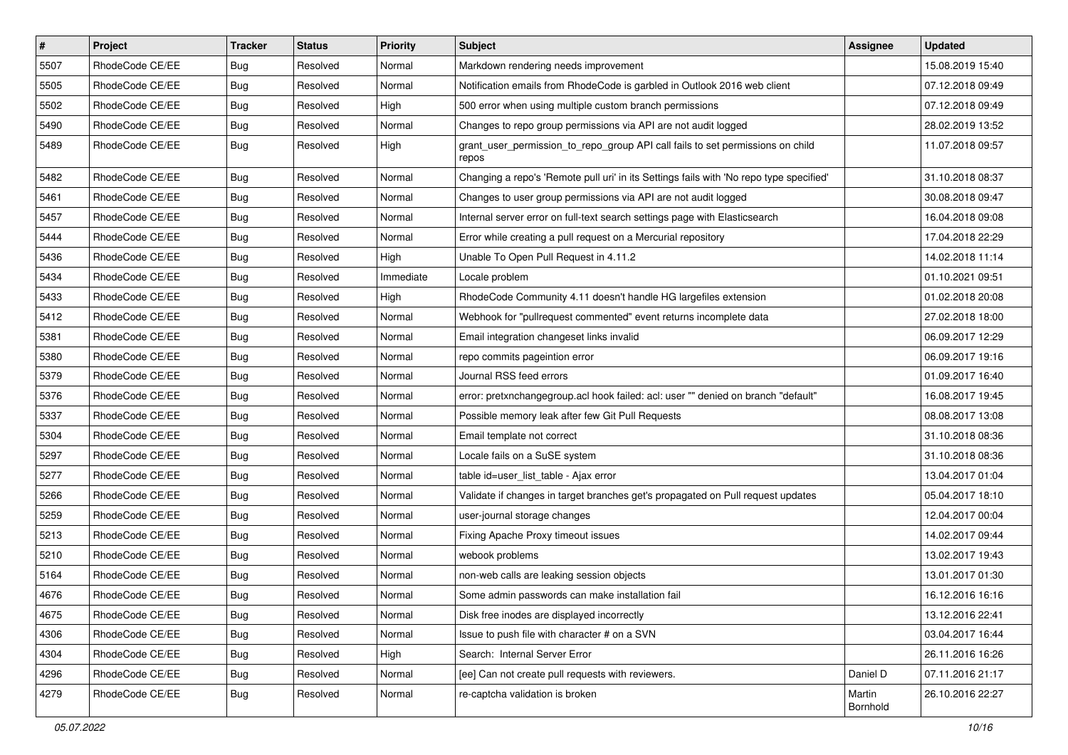| $\vert$ # | Project         | <b>Tracker</b> | <b>Status</b> | Priority  | <b>Subject</b>                                                                          | <b>Assignee</b>    | <b>Updated</b>   |
|-----------|-----------------|----------------|---------------|-----------|-----------------------------------------------------------------------------------------|--------------------|------------------|
| 5507      | RhodeCode CE/EE | Bug            | Resolved      | Normal    | Markdown rendering needs improvement                                                    |                    | 15.08.2019 15:40 |
| 5505      | RhodeCode CE/EE | Bug            | Resolved      | Normal    | Notification emails from RhodeCode is garbled in Outlook 2016 web client                |                    | 07.12.2018 09:49 |
| 5502      | RhodeCode CE/EE | Bug            | Resolved      | High      | 500 error when using multiple custom branch permissions                                 |                    | 07.12.2018 09:49 |
| 5490      | RhodeCode CE/EE | Bug            | Resolved      | Normal    | Changes to repo group permissions via API are not audit logged                          |                    | 28.02.2019 13:52 |
| 5489      | RhodeCode CE/EE | Bug            | Resolved      | High      | grant_user_permission_to_repo_group API call fails to set permissions on child<br>repos |                    | 11.07.2018 09:57 |
| 5482      | RhodeCode CE/EE | Bug            | Resolved      | Normal    | Changing a repo's 'Remote pull uri' in its Settings fails with 'No repo type specified' |                    | 31.10.2018 08:37 |
| 5461      | RhodeCode CE/EE | Bug            | Resolved      | Normal    | Changes to user group permissions via API are not audit logged                          |                    | 30.08.2018 09:47 |
| 5457      | RhodeCode CE/EE | <b>Bug</b>     | Resolved      | Normal    | Internal server error on full-text search settings page with Elasticsearch              |                    | 16.04.2018 09:08 |
| 5444      | RhodeCode CE/EE | Bug            | Resolved      | Normal    | Error while creating a pull request on a Mercurial repository                           |                    | 17.04.2018 22:29 |
| 5436      | RhodeCode CE/EE | Bug            | Resolved      | High      | Unable To Open Pull Request in 4.11.2                                                   |                    | 14.02.2018 11:14 |
| 5434      | RhodeCode CE/EE | Bug            | Resolved      | Immediate | Locale problem                                                                          |                    | 01.10.2021 09:51 |
| 5433      | RhodeCode CE/EE | <b>Bug</b>     | Resolved      | High      | RhodeCode Community 4.11 doesn't handle HG largefiles extension                         |                    | 01.02.2018 20:08 |
| 5412      | RhodeCode CE/EE | Bug            | Resolved      | Normal    | Webhook for "pullrequest commented" event returns incomplete data                       |                    | 27.02.2018 18:00 |
| 5381      | RhodeCode CE/EE | Bug            | Resolved      | Normal    | Email integration changeset links invalid                                               |                    | 06.09.2017 12:29 |
| 5380      | RhodeCode CE/EE | Bug            | Resolved      | Normal    | repo commits pageintion error                                                           |                    | 06.09.2017 19:16 |
| 5379      | RhodeCode CE/EE | Bug            | Resolved      | Normal    | Journal RSS feed errors                                                                 |                    | 01.09.2017 16:40 |
| 5376      | RhodeCode CE/EE | <b>Bug</b>     | Resolved      | Normal    | error: pretxnchangegroup.acl hook failed: acl: user "" denied on branch "default"       |                    | 16.08.2017 19:45 |
| 5337      | RhodeCode CE/EE | Bug            | Resolved      | Normal    | Possible memory leak after few Git Pull Requests                                        |                    | 08.08.2017 13:08 |
| 5304      | RhodeCode CE/EE | Bug            | Resolved      | Normal    | Email template not correct                                                              |                    | 31.10.2018 08:36 |
| 5297      | RhodeCode CE/EE | Bug            | Resolved      | Normal    | Locale fails on a SuSE system                                                           |                    | 31.10.2018 08:36 |
| 5277      | RhodeCode CE/EE | <b>Bug</b>     | Resolved      | Normal    | table id=user_list_table - Ajax error                                                   |                    | 13.04.2017 01:04 |
| 5266      | RhodeCode CE/EE | Bug            | Resolved      | Normal    | Validate if changes in target branches get's propagated on Pull request updates         |                    | 05.04.2017 18:10 |
| 5259      | RhodeCode CE/EE | Bug            | Resolved      | Normal    | user-journal storage changes                                                            |                    | 12.04.2017 00:04 |
| 5213      | RhodeCode CE/EE | <b>Bug</b>     | Resolved      | Normal    | Fixing Apache Proxy timeout issues                                                      |                    | 14.02.2017 09:44 |
| 5210      | RhodeCode CE/EE | Bug            | Resolved      | Normal    | webook problems                                                                         |                    | 13.02.2017 19:43 |
| 5164      | RhodeCode CE/EE | Bug            | Resolved      | Normal    | non-web calls are leaking session objects                                               |                    | 13.01.2017 01:30 |
| 4676      | RhodeCode CE/EE | <b>Bug</b>     | Resolved      | Normal    | Some admin passwords can make installation fail                                         |                    | 16.12.2016 16:16 |
| 4675      | RhodeCode CE/EE | <b>Bug</b>     | Resolved      | Normal    | Disk free inodes are displayed incorrectly                                              |                    | 13.12.2016 22:41 |
| 4306      | RhodeCode CE/EE | Bug            | Resolved      | Normal    | Issue to push file with character # on a SVN                                            |                    | 03.04.2017 16:44 |
| 4304      | RhodeCode CE/EE | Bug            | Resolved      | High      | Search: Internal Server Error                                                           |                    | 26.11.2016 16:26 |
| 4296      | RhodeCode CE/EE | <b>Bug</b>     | Resolved      | Normal    | [ee] Can not create pull requests with reviewers.                                       | Daniel D           | 07.11.2016 21:17 |
| 4279      | RhodeCode CE/EE | Bug            | Resolved      | Normal    | re-captcha validation is broken                                                         | Martin<br>Bornhold | 26.10.2016 22:27 |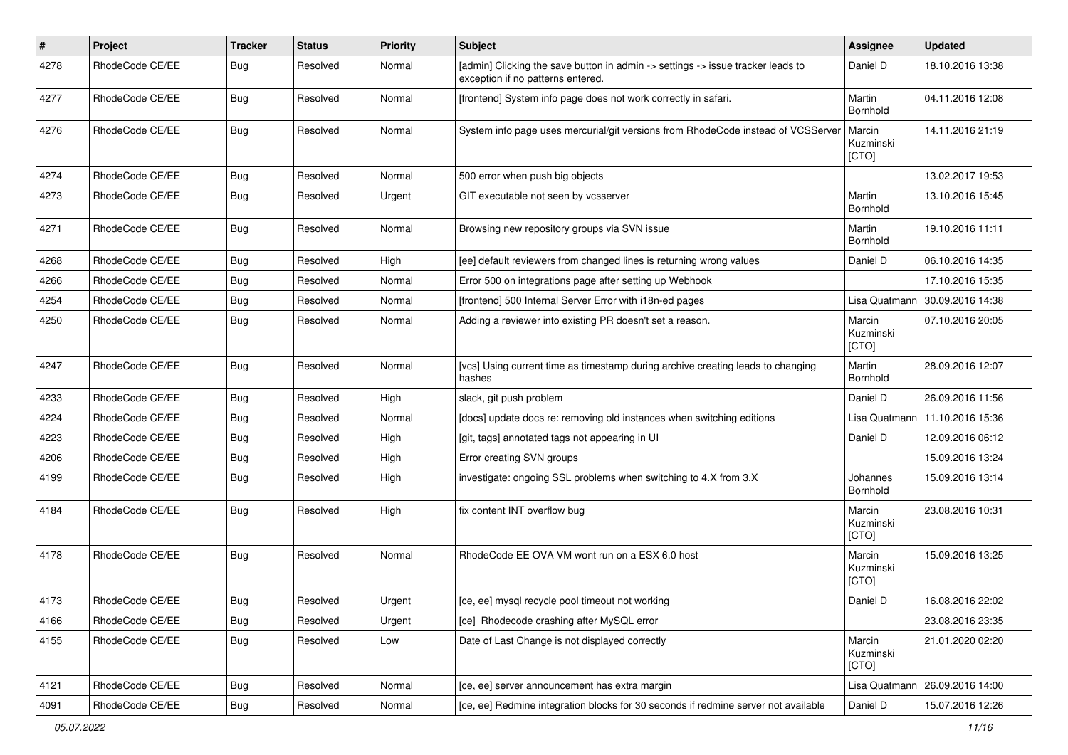| $\sharp$ | Project         | <b>Tracker</b> | <b>Status</b> | <b>Priority</b> | <b>Subject</b>                                                                                                       | <b>Assignee</b>              | <b>Updated</b>   |
|----------|-----------------|----------------|---------------|-----------------|----------------------------------------------------------------------------------------------------------------------|------------------------------|------------------|
| 4278     | RhodeCode CE/EE | Bug            | Resolved      | Normal          | [admin] Clicking the save button in admin -> settings -> issue tracker leads to<br>exception if no patterns entered. | Daniel D                     | 18.10.2016 13:38 |
| 4277     | RhodeCode CE/EE | Bug            | Resolved      | Normal          | [frontend] System info page does not work correctly in safari.                                                       | Martin<br>Bornhold           | 04.11.2016 12:08 |
| 4276     | RhodeCode CE/EE | Bug            | Resolved      | Normal          | System info page uses mercurial/git versions from RhodeCode instead of VCSServer                                     | Marcin<br>Kuzminski<br>[CTO] | 14.11.2016 21:19 |
| 4274     | RhodeCode CE/EE | Bug            | Resolved      | Normal          | 500 error when push big objects                                                                                      |                              | 13.02.2017 19:53 |
| 4273     | RhodeCode CE/EE | Bug            | Resolved      | Urgent          | GIT executable not seen by vcsserver                                                                                 | Martin<br>Bornhold           | 13.10.2016 15:45 |
| 4271     | RhodeCode CE/EE | Bug            | Resolved      | Normal          | Browsing new repository groups via SVN issue                                                                         | Martin<br>Bornhold           | 19.10.2016 11:11 |
| 4268     | RhodeCode CE/EE | Bug            | Resolved      | High            | [ee] default reviewers from changed lines is returning wrong values                                                  | Daniel D                     | 06.10.2016 14:35 |
| 4266     | RhodeCode CE/EE | Bug            | Resolved      | Normal          | Error 500 on integrations page after setting up Webhook                                                              |                              | 17.10.2016 15:35 |
| 4254     | RhodeCode CE/EE | Bug            | Resolved      | Normal          | [frontend] 500 Internal Server Error with i18n-ed pages                                                              | Lisa Quatmann                | 30.09.2016 14:38 |
| 4250     | RhodeCode CE/EE | Bug            | Resolved      | Normal          | Adding a reviewer into existing PR doesn't set a reason.                                                             | Marcin<br>Kuzminski<br>[CTO] | 07.10.2016 20:05 |
| 4247     | RhodeCode CE/EE | Bug            | Resolved      | Normal          | [vcs] Using current time as timestamp during archive creating leads to changing<br>hashes                            | Martin<br>Bornhold           | 28.09.2016 12:07 |
| 4233     | RhodeCode CE/EE | Bug            | Resolved      | High            | slack, git push problem                                                                                              | Daniel D                     | 26.09.2016 11:56 |
| 4224     | RhodeCode CE/EE | Bug            | Resolved      | Normal          | [docs] update docs re: removing old instances when switching editions                                                | Lisa Quatmann                | 11.10.2016 15:36 |
| 4223     | RhodeCode CE/EE | Bug            | Resolved      | High            | [git, tags] annotated tags not appearing in UI                                                                       | Daniel D                     | 12.09.2016 06:12 |
| 4206     | RhodeCode CE/EE | Bug            | Resolved      | High            | Error creating SVN groups                                                                                            |                              | 15.09.2016 13:24 |
| 4199     | RhodeCode CE/EE | Bug            | Resolved      | High            | investigate: ongoing SSL problems when switching to 4.X from 3.X                                                     | Johannes<br>Bornhold         | 15.09.2016 13:14 |
| 4184     | RhodeCode CE/EE | Bug            | Resolved      | High            | fix content INT overflow bug                                                                                         | Marcin<br>Kuzminski<br>[CTO] | 23.08.2016 10:31 |
| 4178     | RhodeCode CE/EE | Bug            | Resolved      | Normal          | RhodeCode EE OVA VM wont run on a ESX 6.0 host                                                                       | Marcin<br>Kuzminski<br>[CTO] | 15.09.2016 13:25 |
| 4173     | RhodeCode CE/EE | Bug            | Resolved      | Urgent          | [ce, ee] mysql recycle pool timeout not working                                                                      | Daniel D                     | 16.08.2016 22:02 |
| 4166     | RhodeCode CE/EE | Bug            | Resolved      | Urgent          | [ce] Rhodecode crashing after MySQL error                                                                            |                              | 23.08.2016 23:35 |
| 4155     | RhodeCode CE/EE | <b>Bug</b>     | Resolved      | Low             | Date of Last Change is not displayed correctly                                                                       | Marcin<br>Kuzminski<br>[CTO] | 21.01.2020 02:20 |
| 4121     | RhodeCode CE/EE | Bug            | Resolved      | Normal          | [ce, ee] server announcement has extra margin                                                                        | Lisa Quatmann                | 26.09.2016 14:00 |
| 4091     | RhodeCode CE/EE | <b>Bug</b>     | Resolved      | Normal          | [ce, ee] Redmine integration blocks for 30 seconds if redmine server not available                                   | Daniel D                     | 15.07.2016 12:26 |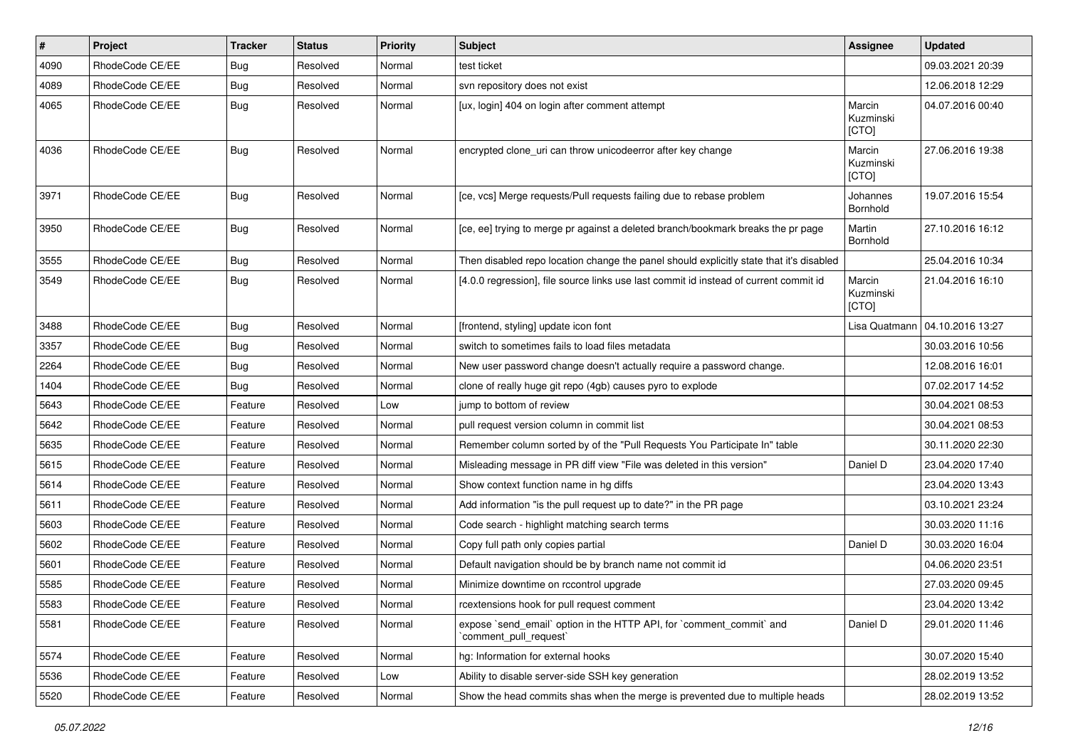| #    | Project         | <b>Tracker</b> | <b>Status</b> | <b>Priority</b> | <b>Subject</b>                                                                                 | <b>Assignee</b>              | <b>Updated</b>   |
|------|-----------------|----------------|---------------|-----------------|------------------------------------------------------------------------------------------------|------------------------------|------------------|
| 4090 | RhodeCode CE/EE | Bug            | Resolved      | Normal          | test ticket                                                                                    |                              | 09.03.2021 20:39 |
| 4089 | RhodeCode CE/EE | Bug            | Resolved      | Normal          | svn repository does not exist                                                                  |                              | 12.06.2018 12:29 |
| 4065 | RhodeCode CE/EE | Bug            | Resolved      | Normal          | [ux, login] 404 on login after comment attempt                                                 | Marcin<br>Kuzminski<br>[CTO] | 04.07.2016 00:40 |
| 4036 | RhodeCode CE/EE | Bug            | Resolved      | Normal          | encrypted clone_uri can throw unicodeerror after key change                                    | Marcin<br>Kuzminski<br>[CTO] | 27.06.2016 19:38 |
| 3971 | RhodeCode CE/EE | Bug            | Resolved      | Normal          | [ce, vcs] Merge requests/Pull requests failing due to rebase problem                           | Johannes<br>Bornhold         | 19.07.2016 15:54 |
| 3950 | RhodeCode CE/EE | Bug            | Resolved      | Normal          | [ce, ee] trying to merge pr against a deleted branch/bookmark breaks the pr page               | Martin<br>Bornhold           | 27.10.2016 16:12 |
| 3555 | RhodeCode CE/EE | Bug            | Resolved      | Normal          | Then disabled repo location change the panel should explicitly state that it's disabled        |                              | 25.04.2016 10:34 |
| 3549 | RhodeCode CE/EE | Bug            | Resolved      | Normal          | [4.0.0 regression], file source links use last commit id instead of current commit id          | Marcin<br>Kuzminski<br>[CTO] | 21.04.2016 16:10 |
| 3488 | RhodeCode CE/EE | Bug            | Resolved      | Normal          | [frontend, styling] update icon font                                                           | Lisa Quatmann                | 04.10.2016 13:27 |
| 3357 | RhodeCode CE/EE | <b>Bug</b>     | Resolved      | Normal          | switch to sometimes fails to load files metadata                                               |                              | 30.03.2016 10:56 |
| 2264 | RhodeCode CE/EE | <b>Bug</b>     | Resolved      | Normal          | New user password change doesn't actually require a password change.                           |                              | 12.08.2016 16:01 |
| 1404 | RhodeCode CE/EE | Bug            | Resolved      | Normal          | clone of really huge git repo (4gb) causes pyro to explode                                     |                              | 07.02.2017 14:52 |
| 5643 | RhodeCode CE/EE | Feature        | Resolved      | Low             | jump to bottom of review                                                                       |                              | 30.04.2021 08:53 |
| 5642 | RhodeCode CE/EE | Feature        | Resolved      | Normal          | pull request version column in commit list                                                     |                              | 30.04.2021 08:53 |
| 5635 | RhodeCode CE/EE | Feature        | Resolved      | Normal          | Remember column sorted by of the "Pull Requests You Participate In" table                      |                              | 30.11.2020 22:30 |
| 5615 | RhodeCode CE/EE | Feature        | Resolved      | Normal          | Misleading message in PR diff view "File was deleted in this version"                          | Daniel D                     | 23.04.2020 17:40 |
| 5614 | RhodeCode CE/EE | Feature        | Resolved      | Normal          | Show context function name in hg diffs                                                         |                              | 23.04.2020 13:43 |
| 5611 | RhodeCode CE/EE | Feature        | Resolved      | Normal          | Add information "is the pull request up to date?" in the PR page                               |                              | 03.10.2021 23:24 |
| 5603 | RhodeCode CE/EE | Feature        | Resolved      | Normal          | Code search - highlight matching search terms                                                  |                              | 30.03.2020 11:16 |
| 5602 | RhodeCode CE/EE | Feature        | Resolved      | Normal          | Copy full path only copies partial                                                             | Daniel D                     | 30.03.2020 16:04 |
| 5601 | RhodeCode CE/EE | Feature        | Resolved      | Normal          | Default navigation should be by branch name not commit id                                      |                              | 04.06.2020 23:51 |
| 5585 | RhodeCode CE/EE | Feature        | Resolved      | Normal          | Minimize downtime on rccontrol upgrade                                                         |                              | 27.03.2020 09:45 |
| 5583 | RhodeCode CE/EE | Feature        | Resolved      | Normal          | rcextensions hook for pull request comment                                                     |                              | 23.04.2020 13:42 |
| 5581 | RhodeCode CE/EE | Feature        | Resolved      | Normal          | expose `send_email` option in the HTTP API, for `comment_commit` and<br>`comment_pull_request` | Daniel D                     | 29.01.2020 11:46 |
| 5574 | RhodeCode CE/EE | Feature        | Resolved      | Normal          | hg: Information for external hooks                                                             |                              | 30.07.2020 15:40 |
| 5536 | RhodeCode CE/EE | Feature        | Resolved      | Low             | Ability to disable server-side SSH key generation                                              |                              | 28.02.2019 13:52 |
| 5520 | RhodeCode CE/EE | Feature        | Resolved      | Normal          | Show the head commits shas when the merge is prevented due to multiple heads                   |                              | 28.02.2019 13:52 |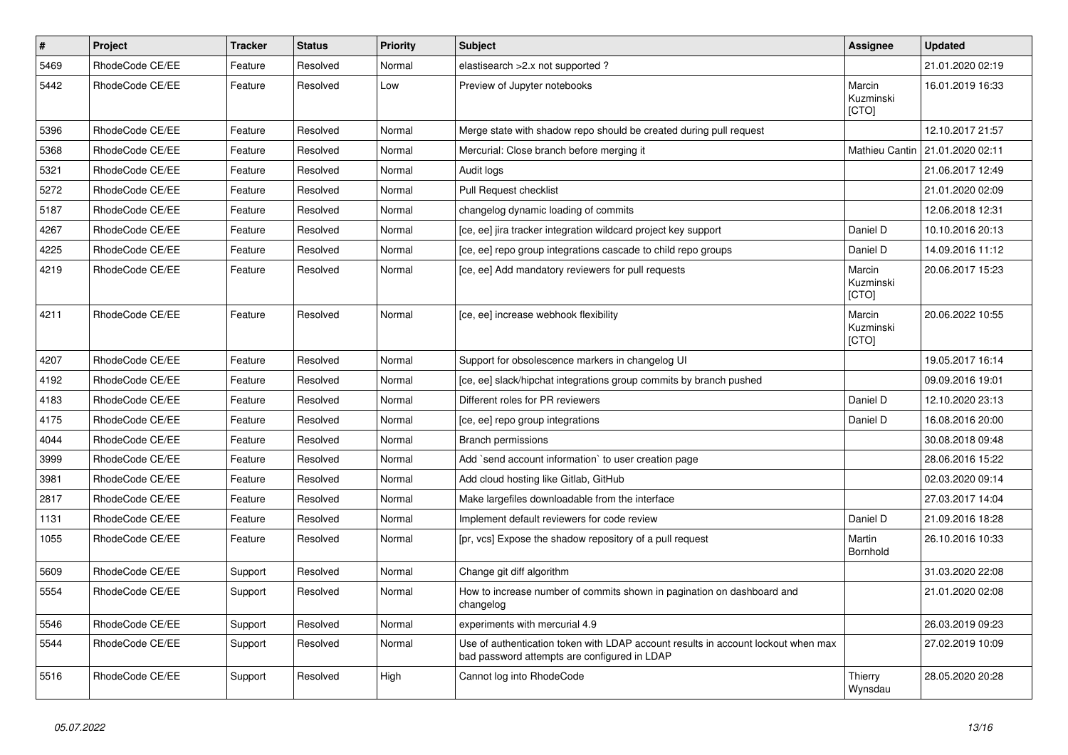| $\vert$ # | <b>Project</b>  | <b>Tracker</b> | <b>Status</b> | <b>Priority</b> | <b>Subject</b>                                                                                                                    | Assignee                     | <b>Updated</b>   |
|-----------|-----------------|----------------|---------------|-----------------|-----------------------------------------------------------------------------------------------------------------------------------|------------------------------|------------------|
| 5469      | RhodeCode CE/EE | Feature        | Resolved      | Normal          | elastisearch > 2.x not supported?                                                                                                 |                              | 21.01.2020 02:19 |
| 5442      | RhodeCode CE/EE | Feature        | Resolved      | Low             | Preview of Jupyter notebooks                                                                                                      | Marcin<br>Kuzminski<br>[CTO] | 16.01.2019 16:33 |
| 5396      | RhodeCode CE/EE | Feature        | Resolved      | Normal          | Merge state with shadow repo should be created during pull request                                                                |                              | 12.10.2017 21:57 |
| 5368      | RhodeCode CE/EE | Feature        | Resolved      | Normal          | Mercurial: Close branch before merging it                                                                                         | Mathieu Cantin               | 21.01.2020 02:11 |
| 5321      | RhodeCode CE/EE | Feature        | Resolved      | Normal          | Audit logs                                                                                                                        |                              | 21.06.2017 12:49 |
| 5272      | RhodeCode CE/EE | Feature        | Resolved      | Normal          | Pull Request checklist                                                                                                            |                              | 21.01.2020 02:09 |
| 5187      | RhodeCode CE/EE | Feature        | Resolved      | Normal          | changelog dynamic loading of commits                                                                                              |                              | 12.06.2018 12:31 |
| 4267      | RhodeCode CE/EE | Feature        | Resolved      | Normal          | [ce, ee] jira tracker integration wildcard project key support                                                                    | Daniel D                     | 10.10.2016 20:13 |
| 4225      | RhodeCode CE/EE | Feature        | Resolved      | Normal          | [ce, ee] repo group integrations cascade to child repo groups                                                                     | Daniel D                     | 14.09.2016 11:12 |
| 4219      | RhodeCode CE/EE | Feature        | Resolved      | Normal          | [ce, ee] Add mandatory reviewers for pull requests                                                                                | Marcin<br>Kuzminski<br>[CTO] | 20.06.2017 15:23 |
| 4211      | RhodeCode CE/EE | Feature        | Resolved      | Normal          | [ce, ee] increase webhook flexibility                                                                                             | Marcin<br>Kuzminski<br>[CTO] | 20.06.2022 10:55 |
| 4207      | RhodeCode CE/EE | Feature        | Resolved      | Normal          | Support for obsolescence markers in changelog UI                                                                                  |                              | 19.05.2017 16:14 |
| 4192      | RhodeCode CE/EE | Feature        | Resolved      | Normal          | [ce, ee] slack/hipchat integrations group commits by branch pushed                                                                |                              | 09.09.2016 19:01 |
| 4183      | RhodeCode CE/EE | Feature        | Resolved      | Normal          | Different roles for PR reviewers                                                                                                  | Daniel D                     | 12.10.2020 23:13 |
| 4175      | RhodeCode CE/EE | Feature        | Resolved      | Normal          | [ce, ee] repo group integrations                                                                                                  | Daniel D                     | 16.08.2016 20:00 |
| 4044      | RhodeCode CE/EE | Feature        | Resolved      | Normal          | <b>Branch permissions</b>                                                                                                         |                              | 30.08.2018 09:48 |
| 3999      | RhodeCode CE/EE | Feature        | Resolved      | Normal          | Add `send account information` to user creation page                                                                              |                              | 28.06.2016 15:22 |
| 3981      | RhodeCode CE/EE | Feature        | Resolved      | Normal          | Add cloud hosting like Gitlab, GitHub                                                                                             |                              | 02.03.2020 09:14 |
| 2817      | RhodeCode CE/EE | Feature        | Resolved      | Normal          | Make largefiles downloadable from the interface                                                                                   |                              | 27.03.2017 14:04 |
| 1131      | RhodeCode CE/EE | Feature        | Resolved      | Normal          | Implement default reviewers for code review                                                                                       | Daniel D                     | 21.09.2016 18:28 |
| 1055      | RhodeCode CE/EE | Feature        | Resolved      | Normal          | [pr, vcs] Expose the shadow repository of a pull request                                                                          | Martin<br>Bornhold           | 26.10.2016 10:33 |
| 5609      | RhodeCode CE/EE | Support        | Resolved      | Normal          | Change git diff algorithm                                                                                                         |                              | 31.03.2020 22:08 |
| 5554      | RhodeCode CE/EE | Support        | Resolved      | Normal          | How to increase number of commits shown in pagination on dashboard and<br>changelog                                               |                              | 21.01.2020 02:08 |
| 5546      | RhodeCode CE/EE | Support        | Resolved      | Normal          | experiments with mercurial 4.9                                                                                                    |                              | 26.03.2019 09:23 |
| 5544      | RhodeCode CE/EE | Support        | Resolved      | Normal          | Use of authentication token with LDAP account results in account lockout when max<br>bad password attempts are configured in LDAP |                              | 27.02.2019 10:09 |
| 5516      | RhodeCode CE/EE | Support        | Resolved      | High            | Cannot log into RhodeCode                                                                                                         | Thierry<br>Wynsdau           | 28.05.2020 20:28 |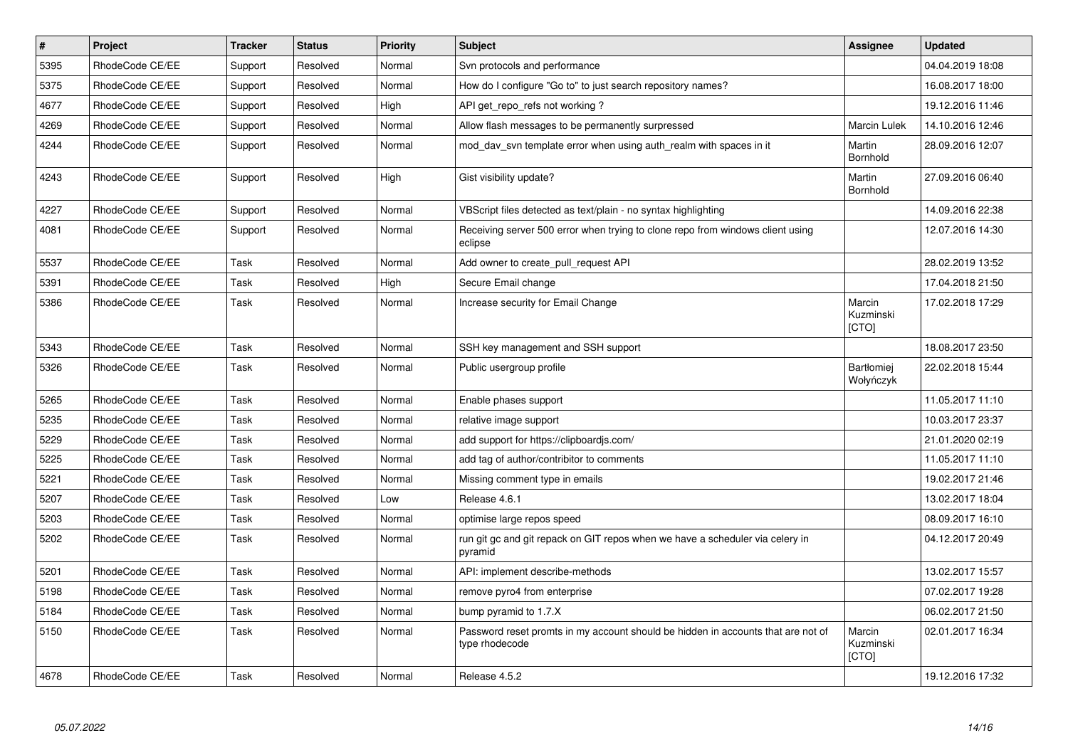| $\pmb{\#}$ | <b>Project</b>  | <b>Tracker</b> | <b>Status</b> | <b>Priority</b> | <b>Subject</b>                                                                                     | <b>Assignee</b>                     | <b>Updated</b>   |
|------------|-----------------|----------------|---------------|-----------------|----------------------------------------------------------------------------------------------------|-------------------------------------|------------------|
| 5395       | RhodeCode CE/EE | Support        | Resolved      | Normal          | Svn protocols and performance                                                                      |                                     | 04.04.2019 18:08 |
| 5375       | RhodeCode CE/EE | Support        | Resolved      | Normal          | How do I configure "Go to" to just search repository names?                                        |                                     | 16.08.2017 18:00 |
| 4677       | RhodeCode CE/EE | Support        | Resolved      | High            | API get repo refs not working?                                                                     |                                     | 19.12.2016 11:46 |
| 4269       | RhodeCode CE/EE | Support        | Resolved      | Normal          | Allow flash messages to be permanently surpressed                                                  | Marcin Lulek                        | 14.10.2016 12:46 |
| 4244       | RhodeCode CE/EE | Support        | Resolved      | Normal          | mod day syn template error when using auth realm with spaces in it                                 | Martin<br>Bornhold                  | 28.09.2016 12:07 |
| 4243       | RhodeCode CE/EE | Support        | Resolved      | High            | Gist visibility update?                                                                            | Martin<br>Bornhold                  | 27.09.2016 06:40 |
| 4227       | RhodeCode CE/EE | Support        | Resolved      | Normal          | VBScript files detected as text/plain - no syntax highlighting                                     |                                     | 14.09.2016 22:38 |
| 4081       | RhodeCode CE/EE | Support        | Resolved      | Normal          | Receiving server 500 error when trying to clone repo from windows client using<br>eclipse          |                                     | 12.07.2016 14:30 |
| 5537       | RhodeCode CE/EE | Task           | Resolved      | Normal          | Add owner to create pull request API                                                               |                                     | 28.02.2019 13:52 |
| 5391       | RhodeCode CE/EE | Task           | Resolved      | High            | Secure Email change                                                                                |                                     | 17.04.2018 21:50 |
| 5386       | RhodeCode CE/EE | Task           | Resolved      | Normal          | Increase security for Email Change                                                                 | Marcin<br>Kuzminski<br><b>[CTO]</b> | 17.02.2018 17:29 |
| 5343       | RhodeCode CE/EE | Task           | Resolved      | Normal          | SSH key management and SSH support                                                                 |                                     | 18.08.2017 23:50 |
| 5326       | RhodeCode CE/EE | Task           | Resolved      | Normal          | Public usergroup profile                                                                           | <b>Bartłomiej</b><br>Wołyńczyk      | 22.02.2018 15:44 |
| 5265       | RhodeCode CE/EE | Task           | Resolved      | Normal          | Enable phases support                                                                              |                                     | 11.05.2017 11:10 |
| 5235       | RhodeCode CE/EE | Task           | Resolved      | Normal          | relative image support                                                                             |                                     | 10.03.2017 23:37 |
| 5229       | RhodeCode CE/EE | Task           | Resolved      | Normal          | add support for https://clipboardjs.com/                                                           |                                     | 21.01.2020 02:19 |
| 5225       | RhodeCode CE/EE | Task           | Resolved      | Normal          | add tag of author/contribitor to comments                                                          |                                     | 11.05.2017 11:10 |
| 5221       | RhodeCode CE/EE | Task           | Resolved      | Normal          | Missing comment type in emails                                                                     |                                     | 19.02.2017 21:46 |
| 5207       | RhodeCode CE/EE | Task           | Resolved      | Low             | Release 4.6.1                                                                                      |                                     | 13.02.2017 18:04 |
| 5203       | RhodeCode CE/EE | Task           | Resolved      | Normal          | optimise large repos speed                                                                         |                                     | 08.09.2017 16:10 |
| 5202       | RhodeCode CE/EE | Task           | Resolved      | Normal          | run git gc and git repack on GIT repos when we have a scheduler via celery in<br>pyramid           |                                     | 04.12.2017 20:49 |
| 5201       | RhodeCode CE/EE | Task           | Resolved      | Normal          | API: implement describe-methods                                                                    |                                     | 13.02.2017 15:57 |
| 5198       | RhodeCode CE/EE | Task           | Resolved      | Normal          | remove pyro4 from enterprise                                                                       |                                     | 07.02.2017 19:28 |
| 5184       | RhodeCode CE/EE | Task           | Resolved      | Normal          | bump pyramid to 1.7.X                                                                              |                                     | 06.02.2017 21:50 |
| 5150       | RhodeCode CE/EE | Task           | Resolved      | Normal          | Password reset promts in my account should be hidden in accounts that are not of<br>type rhodecode | Marcin<br>Kuzminski<br>[CTO]        | 02.01.2017 16:34 |
| 4678       | RhodeCode CE/EE | Task           | Resolved      | Normal          | Release 4.5.2                                                                                      |                                     | 19.12.2016 17:32 |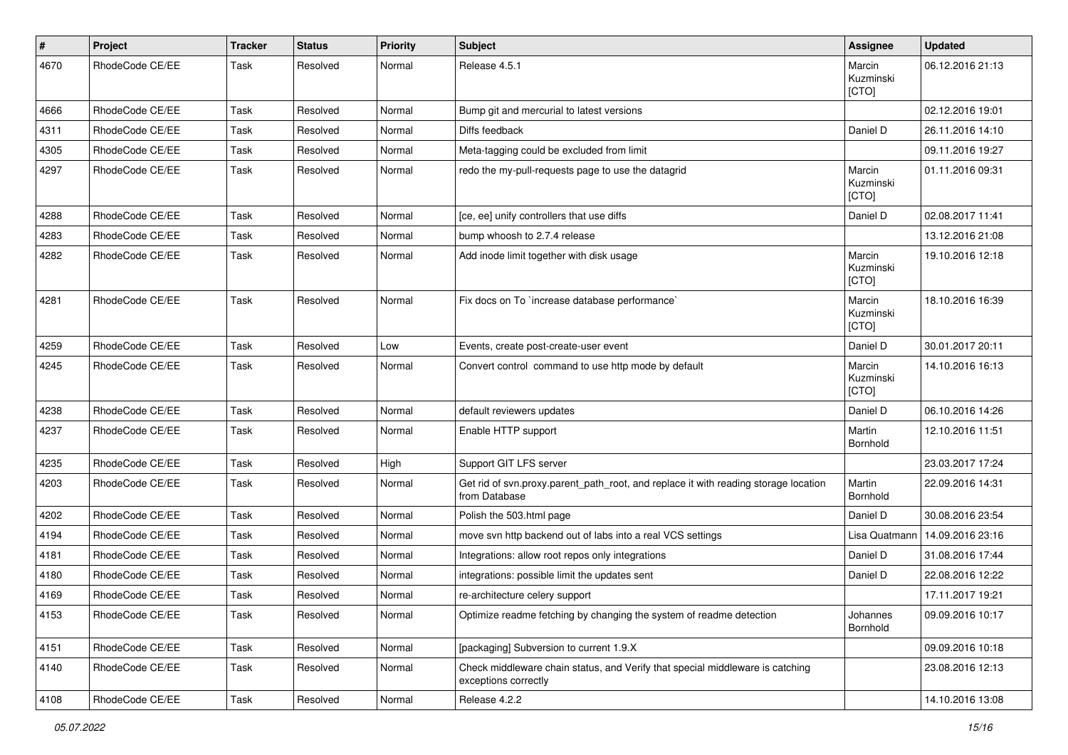| $\sharp$ | Project         | <b>Tracker</b> | <b>Status</b> | <b>Priority</b> | <b>Subject</b>                                                                                        | <b>Assignee</b>              | <b>Updated</b>   |
|----------|-----------------|----------------|---------------|-----------------|-------------------------------------------------------------------------------------------------------|------------------------------|------------------|
| 4670     | RhodeCode CE/EE | Task           | Resolved      | Normal          | Release 4.5.1                                                                                         | Marcin<br>Kuzminski<br>[CTO] | 06.12.2016 21:13 |
| 4666     | RhodeCode CE/EE | Task           | Resolved      | Normal          | Bump git and mercurial to latest versions                                                             |                              | 02.12.2016 19:01 |
| 4311     | RhodeCode CE/EE | Task           | Resolved      | Normal          | Diffs feedback                                                                                        | Daniel D                     | 26.11.2016 14:10 |
| 4305     | RhodeCode CE/EE | Task           | Resolved      | Normal          | Meta-tagging could be excluded from limit                                                             |                              | 09.11.2016 19:27 |
| 4297     | RhodeCode CE/EE | Task           | Resolved      | Normal          | redo the my-pull-requests page to use the datagrid                                                    | Marcin<br>Kuzminski<br>[CTO] | 01.11.2016 09:31 |
| 4288     | RhodeCode CE/EE | Task           | Resolved      | Normal          | [ce, ee] unify controllers that use diffs                                                             | Daniel D                     | 02.08.2017 11:41 |
| 4283     | RhodeCode CE/EE | Task           | Resolved      | Normal          | bump whoosh to 2.7.4 release                                                                          |                              | 13.12.2016 21:08 |
| 4282     | RhodeCode CE/EE | Task           | Resolved      | Normal          | Add inode limit together with disk usage                                                              | Marcin<br>Kuzminski<br>[CTO] | 19.10.2016 12:18 |
| 4281     | RhodeCode CE/EE | Task           | Resolved      | Normal          | Fix docs on To `increase database performance`                                                        | Marcin<br>Kuzminski<br>[CTO] | 18.10.2016 16:39 |
| 4259     | RhodeCode CE/EE | Task           | Resolved      | Low             | Events, create post-create-user event                                                                 | Daniel D                     | 30.01.2017 20:11 |
| 4245     | RhodeCode CE/EE | Task           | Resolved      | Normal          | Convert control command to use http mode by default                                                   | Marcin<br>Kuzminski<br>[CTO] | 14.10.2016 16:13 |
| 4238     | RhodeCode CE/EE | Task           | Resolved      | Normal          | default reviewers updates                                                                             | Daniel D                     | 06.10.2016 14:26 |
| 4237     | RhodeCode CE/EE | Task           | Resolved      | Normal          | Enable HTTP support                                                                                   | Martin<br>Bornhold           | 12.10.2016 11:51 |
| 4235     | RhodeCode CE/EE | Task           | Resolved      | High            | Support GIT LFS server                                                                                |                              | 23.03.2017 17:24 |
| 4203     | RhodeCode CE/EE | Task           | Resolved      | Normal          | Get rid of syn.proxy.parent path root, and replace it with reading storage location<br>from Database  | Martin<br>Bornhold           | 22.09.2016 14:31 |
| 4202     | RhodeCode CE/EE | Task           | Resolved      | Normal          | Polish the 503.html page                                                                              | Daniel D                     | 30.08.2016 23:54 |
| 4194     | RhodeCode CE/EE | Task           | Resolved      | Normal          | move svn http backend out of labs into a real VCS settings                                            | Lisa Quatmann                | 14.09.2016 23:16 |
| 4181     | RhodeCode CE/EE | Task           | Resolved      | Normal          | Integrations: allow root repos only integrations                                                      | Daniel D                     | 31.08.2016 17:44 |
| 4180     | RhodeCode CE/EE | Task           | Resolved      | Normal          | integrations: possible limit the updates sent                                                         | Daniel D                     | 22.08.2016 12:22 |
| 4169     | RhodeCode CE/EE | Task           | Resolved      | Normal          | re-architecture celery support                                                                        |                              | 17.11.2017 19:21 |
| 4153     | RhodeCode CE/EE | Task           | Resolved      | Normal          | Optimize readme fetching by changing the system of readme detection                                   | Johannes<br>Bornhold         | 09.09.2016 10:17 |
| 4151     | RhodeCode CE/EE | Task           | Resolved      | Normal          | [packaging] Subversion to current 1.9.X                                                               |                              | 09.09.2016 10:18 |
| 4140     | RhodeCode CE/EE | Task           | Resolved      | Normal          | Check middleware chain status, and Verify that special middleware is catching<br>exceptions correctly |                              | 23.08.2016 12:13 |
| 4108     | RhodeCode CE/EE | Task           | Resolved      | Normal          | Release 4.2.2                                                                                         |                              | 14.10.2016 13:08 |